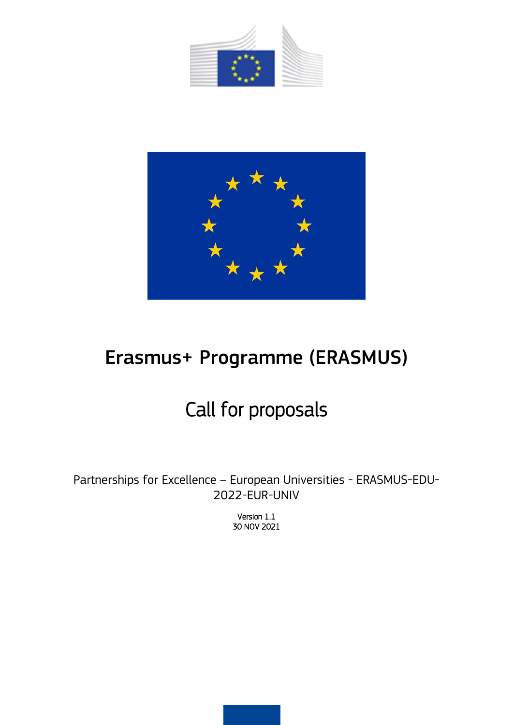



# Erasmus+ Programme (ERASMUS)

# Call for proposals

Partnerships for Excellence – European Universities - ERASMUS-EDU-2022-EUR-UNIV

> Version 1.1 30 NOV 2021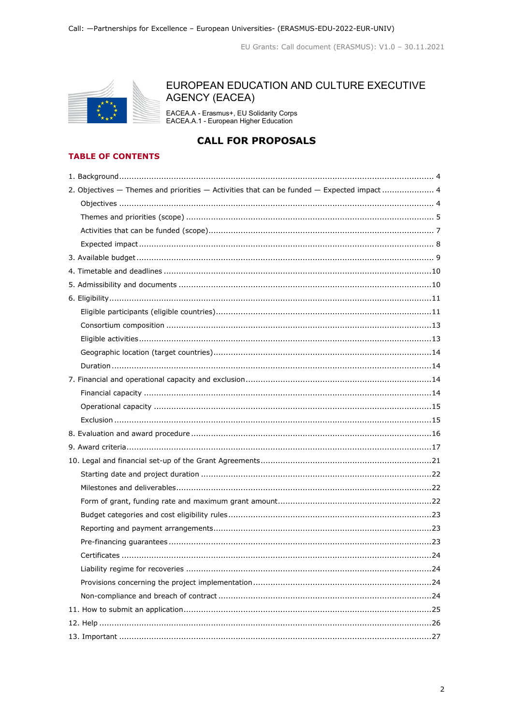

# EUROPEAN EDUCATION AND CULTURE EXECUTIVE **AGENCY (EACEA)**

EACEA.A - Erasmus+, EU Solidarity Corps<br>EACEA.A.1 - European Higher Education

# **CALL FOR PROPOSALS**

## **TABLE OF CONTENTS**

| 2. Objectives - Themes and priorities - Activities that can be funded - Expected impact  4 |
|--------------------------------------------------------------------------------------------|
|                                                                                            |
|                                                                                            |
|                                                                                            |
|                                                                                            |
|                                                                                            |
|                                                                                            |
|                                                                                            |
|                                                                                            |
|                                                                                            |
|                                                                                            |
|                                                                                            |
|                                                                                            |
|                                                                                            |
|                                                                                            |
|                                                                                            |
|                                                                                            |
|                                                                                            |
|                                                                                            |
|                                                                                            |
|                                                                                            |
|                                                                                            |
|                                                                                            |
|                                                                                            |
|                                                                                            |
|                                                                                            |
|                                                                                            |
|                                                                                            |
|                                                                                            |
|                                                                                            |
|                                                                                            |
|                                                                                            |
|                                                                                            |
|                                                                                            |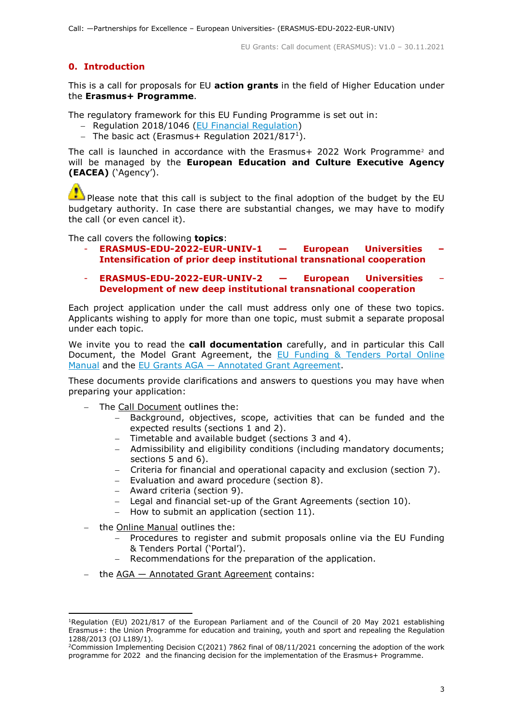# **0. Introduction**

This is a call for proposals for EU **action grants** in the field of Higher Education under the **Erasmus+ Programme**.

The regulatory framework for this EU Funding Programme is set out in:

- − Regulation 2018/1046 [\(EU Financial Regulation\)](https://eur-lex.europa.eu/legal-content/EN/ALL/?uri=CELEX:32018R1046&qid=1535046024012)
- − The basic act (Erasmus+ Regulation 2021/817[1](#page-2-0)).

The call is launched in accordance with the Erasmus+ [2](#page-2-1)022 Work Programme<sup>2</sup> and will be managed by the **European Education and Culture Executive Agency (EACEA)** ('Agency').

Please note that this call is subject to the final adoption of the budget by the EU budgetary authority. In case there are substantial changes, we may have to modify the call (or even cancel it).

The call covers the following **topics**:

- **ERASMUS-EDU-2022-EUR-UNIV-1 — European Universities – Intensification of prior deep institutional transnational cooperation**
- **ERASMUS-EDU-2022-EUR-UNIV-2 — European Universities Development of new deep institutional transnational cooperation**

Each project application under the call must address only one of these two topics. Applicants wishing to apply for more than one topic, must submit a separate proposal under each topic.

We invite you to read the **call documentation** carefully, and in particular this Call Document, the Model Grant Agreement, the [EU Funding & Tenders Portal Online](https://ec.europa.eu/info/funding-tenders/opportunities/docs/2021-2027/common/guidance/om_en.pdf)  [Manual](https://ec.europa.eu/info/funding-tenders/opportunities/docs/2021-2027/common/guidance/om_en.pdf) and the EU Grants AGA — [Annotated Grant Agreement.](https://ec.europa.eu/info/funding-tenders/opportunities/docs/2021-2027/common/guidance/aga_en.pdf)

These documents provide clarifications and answers to questions you may have when preparing your application:

- − The Call Document outlines the:
	- Background, objectives, scope, activities that can be funded and the expected results (sections 1 and 2).
	- − Timetable and available budget (sections 3 and 4).
	- − Admissibility and eligibility conditions (including mandatory documents; sections 5 and 6).
	- − Criteria for financial and operational capacity and exclusion (section 7).
	- − Evaluation and award procedure (section 8).
	- − Award criteria (section 9).
	- − Legal and financial set-up of the Grant Agreements (section 10).
	- − How to submit an application (section 11).
- − the Online Manual outlines the:
	- − Procedures to register and submit proposals online via the EU Funding & Tenders Portal ('Portal').
	- Recommendations for the preparation of the application.
- the AGA Annotated Grant Agreement contains:

<span id="page-2-0"></span><sup>&</sup>lt;sup>1</sup>Regulation (EU) 2021/817 of the European Parliament and of the Council of 20 May 2021 establishing Erasmus+: the Union Programme for education and training, youth and sport and repealing the Regulation 1288/2013 (OJ L189/1).

<span id="page-2-1"></span><sup>&</sup>lt;sup>2</sup>Commission Implementing Decision C(2021) 7862 final of 08/11/2021 concerning the adoption of the work programme for 2022 and the financing decision for the implementation of the Erasmus+ Programme.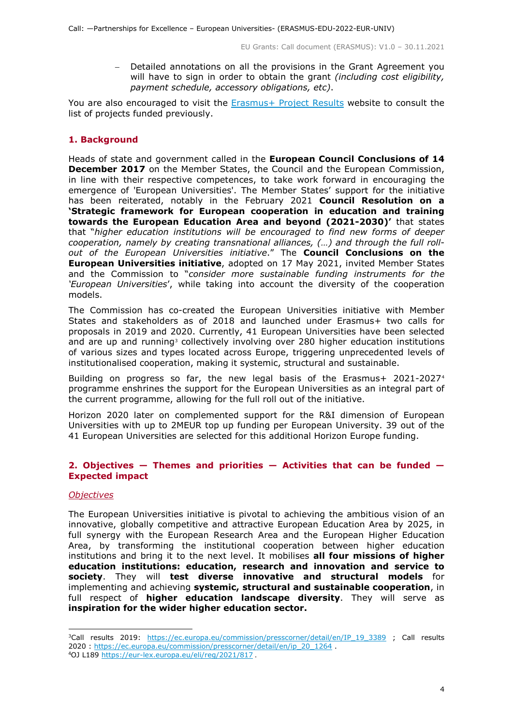− Detailed annotations on all the provisions in the Grant Agreement you will have to sign in order to obtain the grant *(including cost eligibility, payment schedule, accessory obligations, etc)*.

You are also encouraged to visit the [Erasmus+ Project Results](https://ec.europa.eu/programmes/erasmus-plus/projects_en) website to consult the list of projects funded previously.

#### <span id="page-3-0"></span>**1. Background**

Heads of state and government called in the **European Council Conclusions of 14 December 2017** on the Member States, the Council and the European Commission, in line with their respective competences, to take work forward in encouraging the emergence of 'European Universities'. The Member States' support for the initiative has been reiterated, notably in the February 2021 **Council Resolution on a 'Strategic framework for European cooperation in education and training towards the European Education Area and beyond (2021-2030)'** that states that "*higher education institutions will be encouraged to find new forms of deeper cooperation, namely by creating transnational alliances, (…) and through the full rollout of the European Universities initiative*." The **Council Conclusions on the European Universities initiative**, adopted on 17 May 2021, invited Member States and the Commission to "*consider more sustainable funding instruments for the 'European Universities*', while taking into account the diversity of the cooperation models.

The Commission has co-created the European Universities initiative with Member States and stakeholders as of 2018 and launched under Erasmus+ two calls for proposals in 2019 and 2020. Currently, 41 European Universities have been selected and are up and running<sup>[3](#page-3-3)</sup> collectively involving over 280 higher education institutions of various sizes and types located across Europe, triggering unprecedented levels of institutionalised cooperation, making it systemic, structural and sustainable.

Building on progress so far, the new legal basis of the Erasmus+ 2021-2027[4](#page-3-4) programme enshrines the support for the European Universities as an integral part of the current programme, allowing for the full roll out of the initiative.

Horizon 2020 later on complemented support for the R&I dimension of European Universities with up to 2MEUR top up funding per European University. 39 out of the 41 European Universities are selected for this additional Horizon Europe funding.

## <span id="page-3-1"></span>**2. Objectives — Themes and priorities — Activities that can be funded — Expected impact**

#### <span id="page-3-2"></span>*Objectives*

The European Universities initiative is pivotal to achieving the ambitious vision of an innovative, globally competitive and attractive European Education Area by 2025, in full synergy with the European Research Area and the European Higher Education Area, by transforming the institutional cooperation between higher education institutions and bring it to the next level. It mobilises **all four missions of higher education institutions: education, research and innovation and service to society**. They will **test diverse innovative and structural models** for implementing and achieving **systemic, structural and sustainable cooperation**, in full respect of **higher education landscape diversity**. They will serve as **inspiration for the wider higher education sector.**

<span id="page-3-4"></span><span id="page-3-3"></span><sup>&</sup>lt;sup>3</sup>Call results 2019: [https://ec.europa.eu/commission/presscorner/detail/en/IP\\_19\\_3389](https://ec.europa.eu/commission/presscorner/detail/en/IP_19_3389) ; Call results 2020 : [https://ec.europa.eu/commission/presscorner/detail/en/ip\\_20\\_1264](https://ec.europa.eu/commission/presscorner/detail/en/ip_20_1264) . <sup>4</sup>OJ L189<https://eur-lex.europa.eu/eli/reg/2021/817> .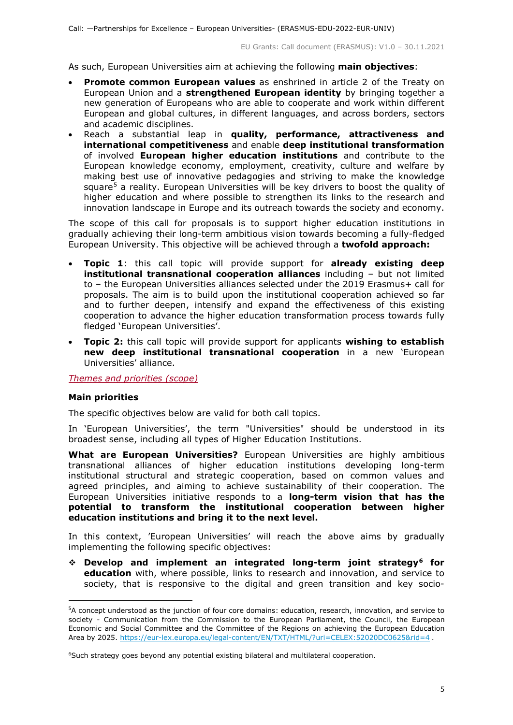As such, European Universities aim at achieving the following **main objectives**:

- **Promote common European values** as enshrined in article 2 of the Treaty on European Union and a **strengthened European identity** by bringing together a new generation of Europeans who are able to cooperate and work within different European and global cultures, in different languages, and across borders, sectors and academic disciplines.
- Reach a substantial leap in **quality, performance, attractiveness and international competitiveness** and enable **deep institutional transformation** of involved **European higher education institutions** and contribute to the European knowledge economy, employment, creativity, culture and welfare by making best use of innovative pedagogies and striving to make the knowledge square<sup>[5](#page-4-1)</sup> a reality. European Universities will be key drivers to boost the quality of higher education and where possible to strengthen its links to the research and innovation landscape in Europe and its outreach towards the society and economy.

The scope of this call for proposals is to support higher education institutions in gradually achieving their long-term ambitious vision towards becoming a fully-fledged European University. This objective will be achieved through a **twofold approach:**

- **Topic 1**: this call topic will provide support for **already existing deep institutional transnational cooperation alliances** including – but not limited to – the European Universities alliances selected under the 2019 Erasmus+ call for proposals. The aim is to build upon the institutional cooperation achieved so far and to further deepen, intensify and expand the effectiveness of this existing cooperation to advance the higher education transformation process towards fully fledged 'European Universities'.
- **Topic 2:** this call topic will provide support for applicants **wishing to establish new deep institutional transnational cooperation** in a new 'European Universities' alliance.

<span id="page-4-0"></span>*Themes and priorities (scope)*

#### **Main priorities**

ł

The specific objectives below are valid for both call topics.

In 'European Universities', the term "Universities" should be understood in its broadest sense, including all types of Higher Education Institutions.

**What are European Universities?** European Universities are highly ambitious transnational alliances of higher education institutions developing long-term institutional structural and strategic cooperation, based on common values and agreed principles, and aiming to achieve sustainability of their cooperation. The European Universities initiative responds to a **long-term vision that has the potential to transform the institutional cooperation between higher education institutions and bring it to the next level.**

In this context, 'European Universities' will reach the above aims by gradually implementing the following specific objectives:

 **Develop and implement an integrated long-term joint strategy[6](#page-4-2) for education** with, where possible, links to research and innovation, and service to society, that is responsive to the digital and green transition and key socio-

<span id="page-4-1"></span><sup>&</sup>lt;sup>5</sup>A concept understood as the junction of four core domains: education, research, innovation, and service to society - Communication from the Commission to the European Parliament, the Council, the European Economic and Social Committee and the Committee of the Regions on achieving the European Education Area by 2025.<https://eur-lex.europa.eu/legal-content/EN/TXT/HTML/?uri=CELEX:52020DC0625&rid=4> .

<span id="page-4-2"></span><sup>&</sup>lt;sup>6</sup>Such strategy goes beyond any potential existing bilateral and multilateral cooperation.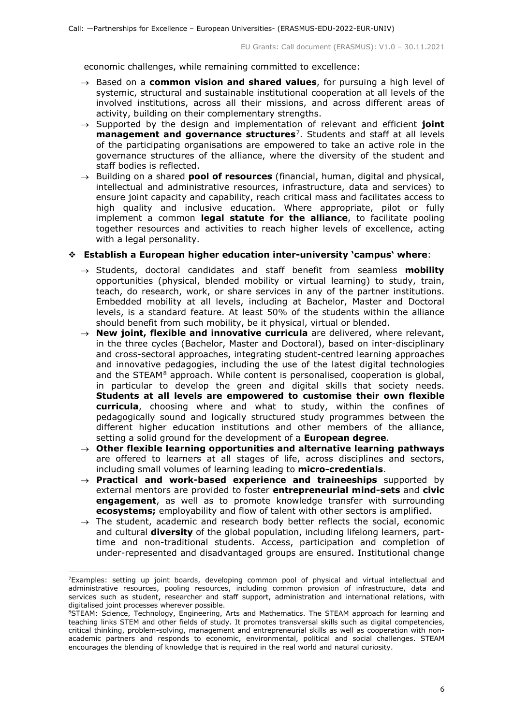economic challenges, while remaining committed to excellence:

- → Based on a **common vision and shared values**, for pursuing a high level of systemic, structural and sustainable institutional cooperation at all levels of the involved institutions, across all their missions, and across different areas of activity, building on their complementary strengths.
- → Supported by the design and implementation of relevant and efficient **joint management and governance structures**[7.](#page-5-0) Students and staff at all levels of the participating organisations are empowered to take an active role in the governance structures of the alliance, where the diversity of the student and staff bodies is reflected.
- → Building on a shared **pool of resources** (financial, human, digital and physical, intellectual and administrative resources, infrastructure, data and services) to ensure joint capacity and capability, reach critical mass and facilitates access to high quality and inclusive education. Where appropriate, pilot or fully implement a common **legal statute for the alliance**, to facilitate pooling together resources and activities to reach higher levels of excellence, acting with a legal personality.

#### **Establish a European higher education inter-university 'campus' where**:

- → Students, doctoral candidates and staff benefit from seamless **mobility** opportunities (physical, blended mobility or virtual learning) to study, train, teach, do research, work, or share services in any of the partner institutions. Embedded mobility at all levels, including at Bachelor, Master and Doctoral levels, is a standard feature. At least 50% of the students within the alliance should benefit from such mobility, be it physical, virtual or blended.
- → **New joint, flexible and innovative curricula** are delivered, where relevant, in the three cycles (Bachelor, Master and Doctoral), based on inter-disciplinary and cross-sectoral approaches, integrating student-centred learning approaches and innovative pedagogies, including the use of the latest digital technologies and the STEAM<sup>[8](#page-5-1)</sup> approach. While content is personalised, cooperation is global, in particular to develop the green and digital skills that society needs. **Students at all levels are empowered to customise their own flexible curricula**, choosing where and what to study, within the confines of pedagogically sound and logically structured study programmes between the different higher education institutions and other members of the alliance, setting a solid ground for the development of a **European degree**.
- → **Other flexible learning opportunities and alternative learning pathways** are offered to learners at all stages of life, across disciplines and sectors, including small volumes of learning leading to **micro-credentials**.
- → **Practical and work-based experience and traineeships** supported by external mentors are provided to foster **entrepreneurial mind-sets** and **civic engagement**, as well as to promote knowledge transfer with surrounding **ecosystems;** employability and flow of talent with other sectors is amplified.
- $\rightarrow$  The student, academic and research body better reflects the social, economic and cultural **diversity** of the global population, including lifelong learners, parttime and non-traditional students. Access, participation and completion of under-represented and disadvantaged groups are ensured. Institutional change

<span id="page-5-0"></span><sup>&</sup>lt;sup>7</sup>Examples: setting up joint boards, developing common pool of physical and virtual intellectual and administrative resources, pooling resources, including common provision of infrastructure, data and services such as student, researcher and staff support, administration and international relations, with digitalised joint processes wherever possible.

<span id="page-5-1"></span><sup>&</sup>lt;sup>8</sup>STEAM: Science, Technology, Engineering, Arts and Mathematics. The STEAM approach for learning and teaching links STEM and other fields of study. It promotes transversal skills such as digital competencies, critical thinking, problem-solving, management and entrepreneurial skills as well as cooperation with nonacademic partners and responds to economic, environmental, political and social challenges. STEAM encourages the blending of knowledge that is required in the real world and natural curiosity.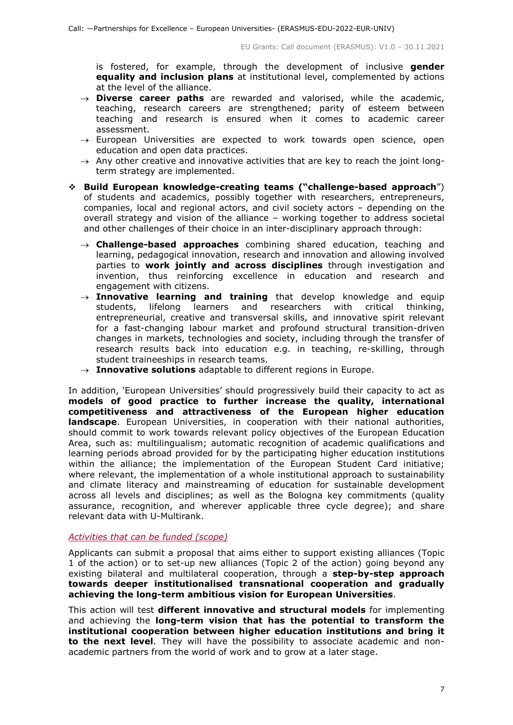is fostered, for example, through the development of inclusive **gender equality and inclusion plans** at institutional level, complemented by actions at the level of the alliance.

- → **Diverse career paths** are rewarded and valorised, while the academic, teaching, research careers are strengthened; parity of esteem between teaching and research is ensured when it comes to academic career assessment.
- $\rightarrow$  European Universities are expected to work towards open science, open education and open data practices.
- $\rightarrow$  Any other creative and innovative activities that are key to reach the joint longterm strategy are implemented.
- **Build European knowledge-creating teams ("challenge-based approach**") of students and academics, possibly together with researchers, entrepreneurs, companies, local and regional actors, and civil society actors – depending on the overall strategy and vision of the alliance – working together to address societal and other challenges of their choice in an inter-disciplinary approach through:
	- → **Challenge-based approaches** combining shared education, teaching and learning, pedagogical innovation, research and innovation and allowing involved parties to **work jointly and across disciplines** through investigation and invention, thus reinforcing excellence in education and research and engagement with citizens.
	- $\rightarrow$  **Innovative learning and training** that develop knowledge and equip students, lifelong learners and researchers with critical thinking, entrepreneurial, creative and transversal skills, and innovative spirit relevant for a fast-changing labour market and profound structural transition-driven changes in markets, technologies and society, including through the transfer of research results back into education e.g. in teaching, re-skilling, through student traineeships in research teams.
	- → **Innovative solutions** adaptable to different regions in Europe.

In addition, 'European Universities' should progressively build their capacity to act as **models of good practice to further increase the quality, international competitiveness and attractiveness of the European higher education landscape**. European Universities, in cooperation with their national authorities, should commit to work towards relevant policy objectives of the European Education Area, such as: multilingualism; automatic recognition of academic qualifications and learning periods abroad provided for by the participating higher education institutions within the alliance; the implementation of the European Student Card initiative; where relevant, the implementation of a whole institutional approach to sustainability and climate literacy and mainstreaming of education for sustainable development across all levels and disciplines; as well as the Bologna key commitments (quality assurance, recognition, and wherever applicable three cycle degree); and share relevant data with U-Multirank.

#### <span id="page-6-0"></span>*Activities that can be funded (scope)*

Applicants can submit a proposal that aims either to support existing alliances (Topic 1 of the action) or to set-up new alliances (Topic 2 of the action) going beyond any existing bilateral and multilateral cooperation, through a **step-by-step approach towards deeper institutionalised transnational cooperation and gradually achieving the long-term ambitious vision for European Universities**.

This action will test **different innovative and structural models** for implementing and achieving the **long-term vision that has the potential to transform the institutional cooperation between higher education institutions and bring it to the next level**. They will have the possibility to associate academic and nonacademic partners from the world of work and to grow at a later stage.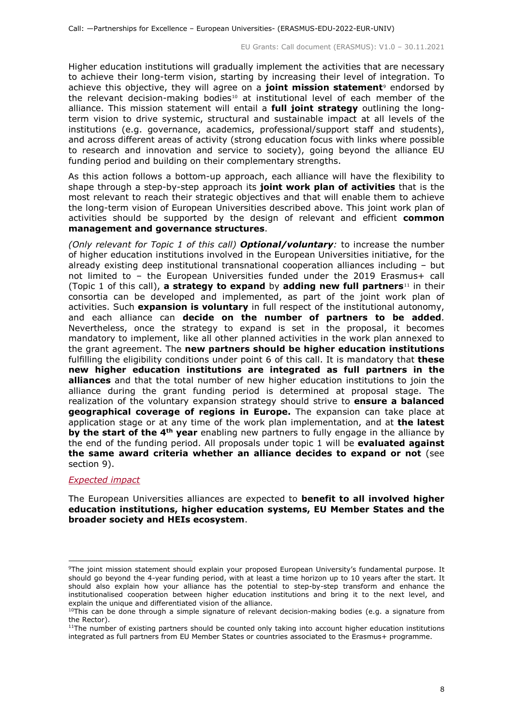Higher education institutions will gradually implement the activities that are necessary to achieve their long-term vision, starting by increasing their level of integration. To achieve this objective, they will agree on a joint mission statement<sup>[9](#page-7-1)</sup> endorsed by the relevant decision-making bodies<sup>[10](#page-7-2)</sup> at institutional level of each member of the alliance. This mission statement will entail a **full joint strategy** outlining the longterm vision to drive systemic, structural and sustainable impact at all levels of the institutions (e.g. governance, academics, professional/support staff and students), and across different areas of activity (strong education focus with links where possible to research and innovation and service to society), going beyond the alliance EU funding period and building on their complementary strengths.

As this action follows a bottom-up approach, each alliance will have the flexibility to shape through a step-by-step approach its **joint work plan of activities** that is the most relevant to reach their strategic objectives and that will enable them to achieve the long-term vision of European Universities described above. This joint work plan of activities should be supported by the design of relevant and efficient **common management and governance structures**.

*(Only relevant for Topic 1 of this call) Optional/voluntary:* to increase the number of higher education institutions involved in the European Universities initiative, for the already existing deep institutional transnational cooperation alliances including – but not limited to – the European Universities funded under the 2019 Erasmus+ call (Topic 1 of this call), **a strategy to expand** by **adding new full partners**[11](#page-7-3) in their consortia can be developed and implemented, as part of the joint work plan of activities. Such **expansion is voluntary** in full respect of the institutional autonomy, and each alliance can **decide on the number of partners to be added**. Nevertheless, once the strategy to expand is set in the proposal, it becomes mandatory to implement, like all other planned activities in the work plan annexed to the grant agreement. The **new partners should be higher education institutions** fulfilling the eligibility conditions under point 6 of this call. It is mandatory that **these new higher education institutions are integrated as full partners in the alliances** and that the total number of new higher education institutions to join the alliance during the grant funding period is determined at proposal stage. The realization of the voluntary expansion strategy should strive to **ensure a balanced geographical coverage of regions in Europe.** The expansion can take place at application stage or at any time of the work plan implementation, and at **the latest by the start of the 4th year** enabling new partners to fully engage in the alliance by the end of the funding period. All proposals under topic 1 will be **evaluated against the same award criteria whether an alliance decides to expand or not** (see section 9).

#### <span id="page-7-0"></span>*Expected impact*

The European Universities alliances are expected to **benefit to all involved higher education institutions, higher education systems, EU Member States and the broader society and HEIs ecosystem**.

<span id="page-7-1"></span><sup>&</sup>lt;sup>9</sup>The joint mission statement should explain your proposed European University's fundamental purpose. It should go beyond the 4-year funding period, with at least a time horizon up to 10 years after the start. It should also explain how your alliance has the potential to step-by-step transform and enhance the institutionalised cooperation between higher education institutions and bring it to the next level, and explain the unique and differentiated vision of the alliance.

<span id="page-7-2"></span> $10$ This can be done through a simple signature of relevant decision-making bodies (e.g. a signature from the Rector).

<span id="page-7-3"></span> $11$ The number of existing partners should be counted only taking into account higher education institutions integrated as full partners from EU Member States or countries associated to the Erasmus+ programme.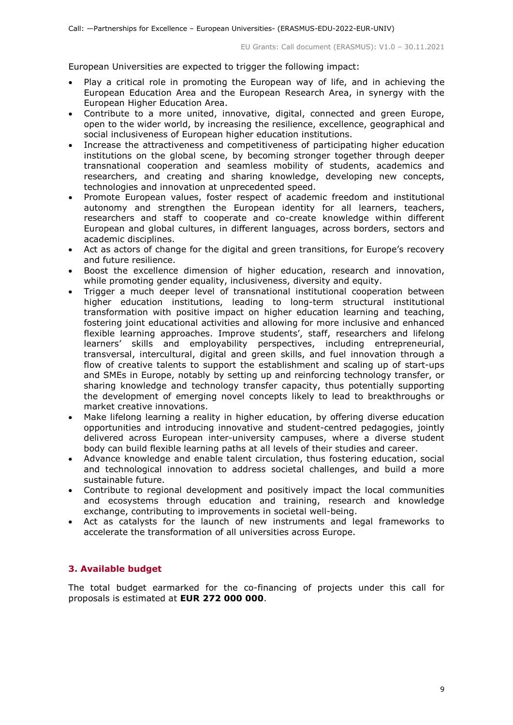European Universities are expected to trigger the following impact:

- Play a critical role in promoting the European way of life, and in achieving the European Education Area and the European Research Area, in synergy with the European Higher Education Area.
- Contribute to a more united, innovative, digital, connected and green Europe, open to the wider world, by increasing the resilience, excellence, geographical and social inclusiveness of European higher education institutions.
- Increase the attractiveness and competitiveness of participating higher education institutions on the global scene, by becoming stronger together through deeper transnational cooperation and seamless mobility of students, academics and researchers, and creating and sharing knowledge, developing new concepts, technologies and innovation at unprecedented speed.
- Promote European values, foster respect of academic freedom and institutional autonomy and strengthen the European identity for all learners, teachers, researchers and staff to cooperate and co-create knowledge within different European and global cultures, in different languages, across borders, sectors and academic disciplines.
- Act as actors of change for the digital and green transitions, for Europe's recovery and future resilience.
- Boost the excellence dimension of higher education, research and innovation, while promoting gender equality, inclusiveness, diversity and equity.
- Trigger a much deeper level of transnational institutional cooperation between higher education institutions, leading to long-term structural institutional transformation with positive impact on higher education learning and teaching, fostering joint educational activities and allowing for more inclusive and enhanced flexible learning approaches. Improve students', staff, researchers and lifelong learners' skills and employability perspectives, including entrepreneurial, transversal, intercultural, digital and green skills, and fuel innovation through a flow of creative talents to support the establishment and scaling up of start-ups and SMEs in Europe, notably by setting up and reinforcing technology transfer, or sharing knowledge and technology transfer capacity, thus potentially supporting the development of emerging novel concepts likely to lead to breakthroughs or market creative innovations.
- Make lifelong learning a reality in higher education, by offering diverse education opportunities and introducing innovative and student-centred pedagogies, jointly delivered across European inter-university campuses, where a diverse student body can build flexible learning paths at all levels of their studies and career.
- Advance knowledge and enable talent circulation, thus fostering education, social and technological innovation to address societal challenges, and build a more sustainable future.
- Contribute to regional development and positively impact the local communities and ecosystems through education and training, research and knowledge exchange, contributing to improvements in societal well-being.
- Act as catalysts for the launch of new instruments and legal frameworks to accelerate the transformation of all universities across Europe.

# <span id="page-8-0"></span>**3. Available budget**

The total budget earmarked for the co-financing of projects under this call for proposals is estimated at **EUR 272 000 000**.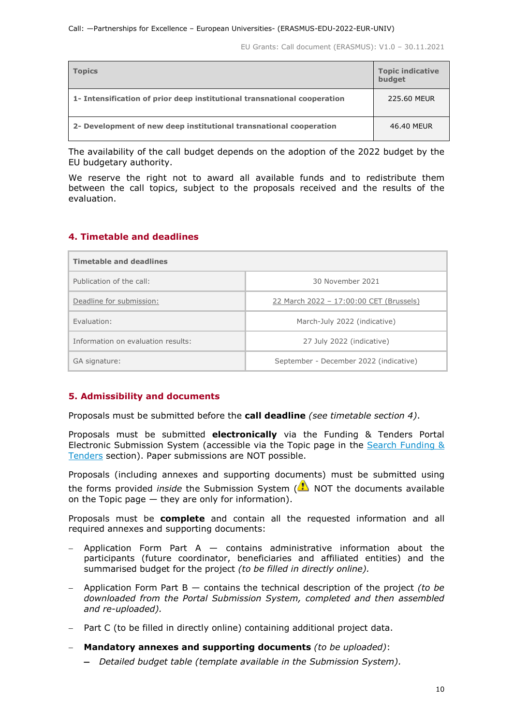| <b>Topics</b>                                                            | <b>Topic indicative</b><br>budget |
|--------------------------------------------------------------------------|-----------------------------------|
| 1- Intensification of prior deep institutional transnational cooperation | 225.60 MEUR                       |
| 2- Development of new deep institutional transnational cooperation       | 46.40 MEUR                        |

The availability of the call budget depends on the adoption of the 2022 budget by the EU budgetary authority.

We reserve the right not to award all available funds and to redistribute them between the call topics, subject to the proposals received and the results of the evaluation.

#### <span id="page-9-0"></span>**4. Timetable and deadlines**

| <b>Timetable and deadlines</b>     |                                         |  |
|------------------------------------|-----------------------------------------|--|
| Publication of the call:           | 30 November 2021                        |  |
| Deadline for submission:           | 22 March 2022 - 17:00:00 CET (Brussels) |  |
| Fyaluation:                        | March-July 2022 (indicative)            |  |
| Information on evaluation results: | 27 July 2022 (indicative)               |  |
| GA signature:                      | September - December 2022 (indicative)  |  |

## <span id="page-9-1"></span>**5. Admissibility and documents**

Proposals must be submitted before the **call deadline** *(see timetable section 4)*.

Proposals must be submitted **electronically** via the Funding & Tenders Portal Electronic Submission System (accessible via the Topic page in the Search Funding & [Tenders](https://ec.europa.eu/info/funding-tenders/opportunities/portal/screen/opportunities/topic-search;freeTextSearchKeyword=;typeCodes=0,1;statusCodes=31094501,31094502,31094503;programCode=null;programDivisionCode=null;focusAreaCode=null;crossCuttingPriorityCode=null;callCode=Default;sortQuery=openingDate;orderBy=asc;onlyTenders=false;topicListKey=topicSearchTablePageState) section). Paper submissions are NOT possible.

Proposals (including annexes and supporting documents) must be submitted using the forms provided *inside* the Submission System (**A**) NOT the documents available on the Topic page — they are only for information).

Proposals must be **complete** and contain all the requested information and all required annexes and supporting documents:

- − Application Form Part A contains administrative information about the participants (future coordinator, beneficiaries and affiliated entities) and the summarised budget for the project *(to be filled in directly online).*
- − Application Form Part B contains the technical description of the project *(to be downloaded from the Portal Submission System, completed and then assembled and re-uploaded).*
- − Part C (to be filled in directly online) containing additional project data.
- − **Mandatory annexes and supporting documents** *(to be uploaded)*:
	- − *Detailed budget table (template available in the Submission System).*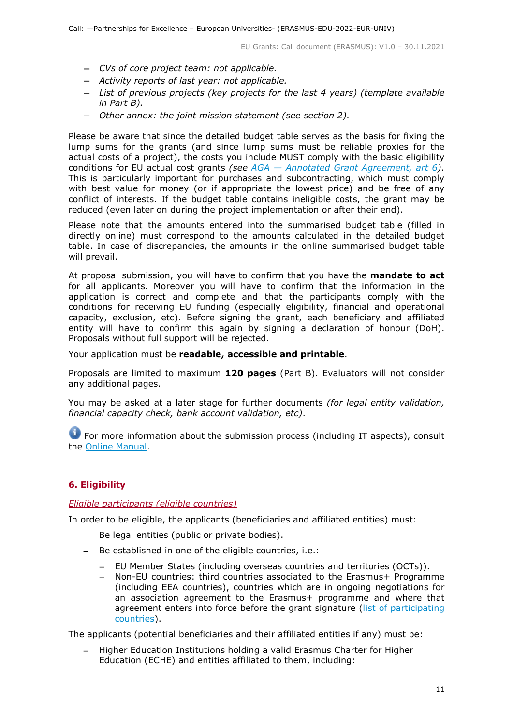- − *CVs of core project team: not applicable.*
- − *Activity reports of last year: not applicable.*
- − *List of previous projects (key projects for the last 4 years) (template available in Part B).*
- − *Other annex: the joint mission statement (see section 2).*

Please be aware that since the detailed budget table serves as the basis for fixing the lump sums for the grants (and since lump sums must be reliable proxies for the actual costs of a project), the costs you include MUST comply with the basic eligibility conditions for EU actual cost grants *(see AGA — [Annotated Grant Agreement, art 6\)](https://ec.europa.eu/info/funding-tenders/opportunities/docs/2021-2027/common/guidance/aga_en.pdf)*. This is particularly important for purchases and subcontracting, which must comply with best value for money (or if appropriate the lowest price) and be free of any conflict of interests. If the budget table contains ineligible costs, the grant may be reduced (even later on during the project implementation or after their end).

Please note that the amounts entered into the summarised budget table (filled in directly online) must correspond to the amounts calculated in the detailed budget table. In case of discrepancies, the amounts in the online summarised budget table will prevail.

At proposal submission, you will have to confirm that you have the **mandate to act** for all applicants. Moreover you will have to confirm that the information in the application is correct and complete and that the participants comply with the conditions for receiving EU funding (especially eligibility, financial and operational capacity, exclusion, etc). Before signing the grant, each beneficiary and affiliated entity will have to confirm this again by signing a declaration of honour (DoH). Proposals without full support will be rejected.

Your application must be **readable, accessible and printable**.

Proposals are limited to maximum **120 pages** (Part B). Evaluators will not consider any additional pages.

You may be asked at a later stage for further documents *(for legal entity validation, financial capacity check, bank account validation, etc)*.

For more information about the submission process (including IT aspects), consult the [Online Manual.](https://ec.europa.eu/info/funding-tenders/opportunities/docs/2021-2027/common/guidance/om_en.pdf)

## <span id="page-10-0"></span>**6. Eligibility**

#### <span id="page-10-1"></span>*Eligible participants (eligible countries)*

In order to be eligible, the applicants (beneficiaries and affiliated entities) must:

- − Be legal entities (public or private bodies).
- − Be established in one of the eligible countries, i.e.:
	- − EU Member States (including overseas countries and territories (OCTs)).
	- − Non-EU countries: third countries associated to the Erasmus+ Programme (including EEA countries), countries which are in ongoing negotiations for an association agreement to the Erasmus+ programme and where that agreement enters into force before the grant signature [\(list of participating](https://ec.europa.eu/info/funding-tenders/opportunities/docs/2021-2027/erasmus/guidance/list-3rd-country-participation_erasmus_en.pdf)  [countries\)](https://ec.europa.eu/info/funding-tenders/opportunities/docs/2021-2027/erasmus/guidance/list-3rd-country-participation_erasmus_en.pdf).

The applicants (potential beneficiaries and their affiliated entities if any) must be:

− Higher Education Institutions holding a valid Erasmus Charter for Higher Education (ECHE) and entities affiliated to them, including: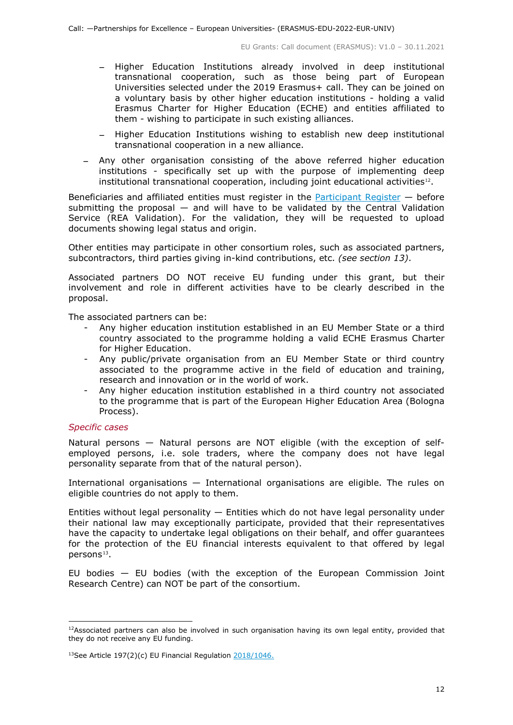- − Higher Education Institutions already involved in deep institutional transnational cooperation, such as those being part of European Universities selected under the 2019 Erasmus+ call. They can be joined on a voluntary basis by other higher education institutions - holding a valid Erasmus Charter for Higher Education (ECHE) and entities affiliated to them - wishing to participate in such existing alliances.
- − Higher Education Institutions wishing to establish new deep institutional transnational cooperation in a new alliance.
- − Any other organisation consisting of the above referred higher education institutions - specifically set up with the purpose of implementing deep institutional transnational cooperation, including joint educational activities<sup>12</sup>.

Beneficiaries and affiliated entities must register in the **Participant Register**  $-$  before submitting the proposal  $-$  and will have to be validated by the Central Validation Service (REA Validation). For the validation, they will be requested to upload documents showing legal status and origin.

Other entities may participate in other consortium roles, such as associated partners, subcontractors, third parties giving in-kind contributions, etc. *(see section 13)*.

Associated partners DO NOT receive EU funding under this grant, but their involvement and role in different activities have to be clearly described in the proposal.

The associated partners can be:

- Any higher education institution established in an EU Member State or a third country associated to the programme holding a valid ECHE Erasmus Charter for Higher Education.
- Any public/private organisation from an EU Member State or third country associated to the programme active in the field of education and training, research and innovation or in the world of work.
- Any higher education institution established in a third country not associated to the programme that is part of the European Higher Education Area (Bologna Process).

#### *Specific cases*

Natural persons — Natural persons are NOT eligible (with the exception of selfemployed persons, i.e. sole traders, where the company does not have legal personality separate from that of the natural person).

International organisations — International organisations are eligible. The rules on eligible countries do not apply to them.

Entities without legal personality  $-$  Entities which do not have legal personality under their national law may exceptionally participate, provided that their representatives have the capacity to undertake legal obligations on their behalf, and offer guarantees for the protection of the EU financial interests equivalent to that offered by legal persons<sup>13</sup>.

EU bodies — EU bodies (with the exception of the European Commission Joint Research Centre) can NOT be part of the consortium.

<span id="page-11-0"></span><sup>&</sup>lt;sup>12</sup>Associated partners can also be involved in such organisation having its own legal entity, provided that they do not receive any EU funding.

<span id="page-11-1"></span> $13$ See Article 197(2)(c) EU Financial Regulation  $2018/1046$ .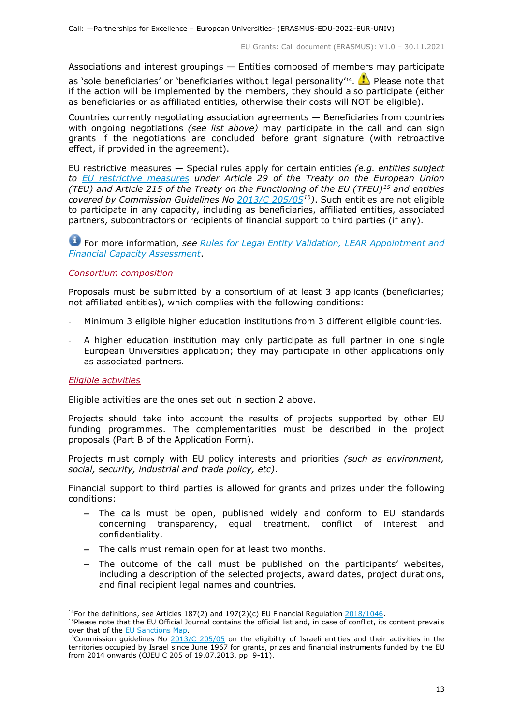Associations and interest groupings — Entities composed of members may participate as 'sole beneficiaries' or 'beneficiaries without legal personality'<sup>[14](#page-12-2)</sup>.  $\bullet$  Please note that if the action will be implemented by the members, they should also participate (either as beneficiaries or as affiliated entities, otherwise their costs will NOT be eligible).

Countries currently negotiating association agreements — Beneficiaries from countries with ongoing negotiations *(see list above)* may participate in the call and can sign grants if the negotiations are concluded before grant signature (with retroactive effect, if provided in the agreement).

EU restrictive measures — Special rules apply for certain entities *(e.g. entities subject to [EU restrictive measures](http://www.sanctionsmap.eu/) under Article 29 of the Treaty on the European Union (TEU) and Article 215 of the Treaty on the Functioning of the EU (TFEU)[15](#page-12-3) and entities covered by Commission Guidelines No [2013/C 205/05](http://eur-lex.europa.eu/LexUriServ/LexUriServ.do?uri=OJ:C:2013:205:FULL:EN:PDF)[16\)](#page-12-4)*. Such entities are not eligible to participate in any capacity, including as beneficiaries, affiliated entities, associated partners, subcontractors or recipients of financial support to third parties (if any).

For more information, *see [Rules for Legal Entity Validation, LEAR Appointment and](https://ec.europa.eu/info/funding-tenders/opportunities/docs/2021-2027/common/guidance/rules-lev-lear-fca_en.pdf)  [Financial Capacity Assessment](https://ec.europa.eu/info/funding-tenders/opportunities/docs/2021-2027/common/guidance/rules-lev-lear-fca_en.pdf)*.

#### <span id="page-12-0"></span>*Consortium composition*

Proposals must be submitted by a consortium of at least 3 applicants (beneficiaries; not affiliated entities), which complies with the following conditions:

- Minimum 3 eligible higher education institutions from 3 different eligible countries.
- A higher education institution may only participate as full partner in one single European Universities application; they may participate in other applications only as associated partners.

#### <span id="page-12-1"></span>*Eligible activities*

Eligible activities are the ones set out in section 2 above.

Projects should take into account the results of projects supported by other EU funding programmes. The complementarities must be described in the project proposals (Part B of the Application Form).

Projects must comply with EU policy interests and priorities *(such as environment, social, security, industrial and trade policy, etc)*.

Financial support to third parties is allowed for grants and prizes under the following conditions:

- − The calls must be open, published widely and conform to EU standards concerning transparency, equal treatment, conflict of interest and confidentiality.
- − The calls must remain open for at least two months.
- − The outcome of the call must be published on the participants' websites, including a description of the selected projects, award dates, project durations, and final recipient legal names and countries.

<sup>&</sup>lt;sup>14</sup>For the definitions, see Articles 187(2) and 197(2)(c) EU Financial Regulation  $2018/1046$ .

<span id="page-12-3"></span><span id="page-12-2"></span><sup>&</sup>lt;sup>15</sup>Please note that the EU Official Journal contains the official list and, in case of conflict, its content prevails over that of the [EU Sanctions Map.](http://www.sanctionsmap.eu/)

<span id="page-12-4"></span><sup>&</sup>lt;sup>16</sup>Commission guidelines No  $2013/C 205/05$  on the eligibility of Israeli entities and their activities in the territories occupied by Israel since June 1967 for grants, prizes and financial instruments funded by the EU from 2014 onwards (OJEU C 205 of 19.07.2013, pp. 9-11).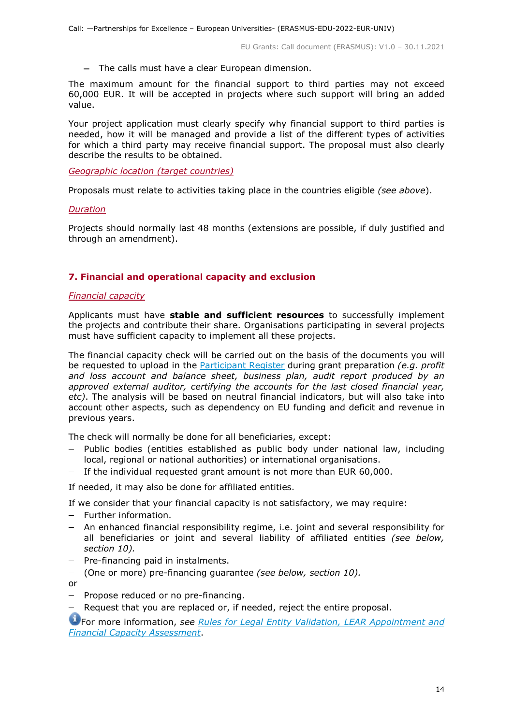− The calls must have a clear European dimension.

The maximum amount for the financial support to third parties may not exceed 60,000 EUR. It will be accepted in projects where such support will bring an added value.

Your project application must clearly specify why financial support to third parties is needed, how it will be managed and provide a list of the different types of activities for which a third party may receive financial support. The proposal must also clearly describe the results to be obtained.

<span id="page-13-0"></span>*Geographic location (target countries)*

Proposals must relate to activities taking place in the countries eligible *(see above*).

#### <span id="page-13-1"></span>*Duration*

Projects should normally last 48 months (extensions are possible, if duly justified and through an amendment).

## <span id="page-13-2"></span>**7. Financial and operational capacity and exclusion**

#### <span id="page-13-3"></span>*Financial capacity*

Applicants must have **stable and sufficient resources** to successfully implement the projects and contribute their share. Organisations participating in several projects must have sufficient capacity to implement all these projects.

The financial capacity check will be carried out on the basis of the documents you will be requested to upload in the [Participant Register](https://ec.europa.eu/info/funding-tenders/opportunities/portal/screen/how-to-participate/participant-register) during grant preparation *(e.g. profit and loss account and balance sheet, business plan, audit report produced by an approved external auditor, certifying the accounts for the last closed financial year, etc)*. The analysis will be based on neutral financial indicators, but will also take into account other aspects, such as dependency on EU funding and deficit and revenue in previous years.

The check will normally be done for all beneficiaries, except:

- − Public bodies (entities established as public body under national law, including local, regional or national authorities) or international organisations.
- − If the individual requested grant amount is not more than EUR 60,000.

If needed, it may also be done for affiliated entities.

If we consider that your financial capacity is not satisfactory, we may require:

- − Further information.
- − An enhanced financial responsibility regime, i.e. joint and several responsibility for all beneficiaries or joint and several liability of affiliated entities *(see below, section 10).*
- − Pre-financing paid in instalments.
- − (One or more) pre-financing guarantee *(see below, section 10).*

or

- − Propose reduced or no pre-financing.
- Request that you are replaced or, if needed, reject the entire proposal.

For more information, *see Rules for [Legal Entity Validation, LEAR Appointment and](https://ec.europa.eu/info/funding-tenders/opportunities/docs/2021-2027/common/guidance/rules-lev-lear-fca_en.pdf)  [Financial Capacity Assessment](https://ec.europa.eu/info/funding-tenders/opportunities/docs/2021-2027/common/guidance/rules-lev-lear-fca_en.pdf)*.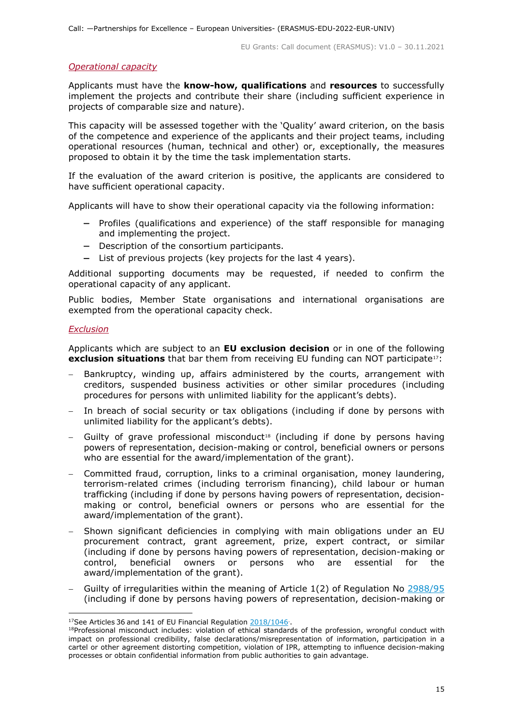#### <span id="page-14-0"></span>*Operational capacity*

Applicants must have the **know-how, qualifications** and **resources** to successfully implement the projects and contribute their share (including sufficient experience in projects of comparable size and nature).

This capacity will be assessed together with the 'Quality' award criterion, on the basis of the competence and experience of the applicants and their project teams, including operational resources (human, technical and other) or, exceptionally, the measures proposed to obtain it by the time the task implementation starts.

If the evaluation of the award criterion is positive, the applicants are considered to have sufficient operational capacity.

Applicants will have to show their operational capacity via the following information:

- − Profiles (qualifications and experience) of the staff responsible for managing and implementing the project.
- − Description of the consortium participants.
- − List of previous projects (key projects for the last 4 years).

Additional supporting documents may be requested, if needed to confirm the operational capacity of any applicant.

Public bodies, Member State organisations and international organisations are exempted from the operational capacity check.

#### <span id="page-14-1"></span>*Exclusion*

Applicants which are subject to an **EU exclusion decision** or in one of the following **exclusion situations** that bar them from receiving EU funding can NOT participate<sup>[17](#page-14-2)</sup>:

- Bankruptcy, winding up, affairs administered by the courts, arrangement with creditors, suspended business activities or other similar procedures (including procedures for persons with unlimited liability for the applicant's debts).
- In breach of social security or tax obligations (including if done by persons with unlimited liability for the applicant's debts).
- − Guilty of grave professional misconduct[18](#page-14-3) (including if done by persons having powers of representation, decision-making or control, beneficial owners or persons who are essential for the award/implementation of the grant).
- − Committed fraud, corruption, links to a criminal organisation, money laundering, terrorism-related crimes (including terrorism financing), child labour or human trafficking (including if done by persons having powers of representation, decisionmaking or control, beneficial owners or persons who are essential for the award/implementation of the grant).
- Shown significant deficiencies in complying with main obligations under an EU procurement contract, grant agreement, prize, expert contract, or similar (including if done by persons having powers of representation, decision-making or control, beneficial owners or persons who are essential for the award/implementation of the grant).
- − Guilty of irregularities within the meaning of Article 1(2) of Regulation No [2988/95](http://eur-lex.europa.eu/legal-content/EN/ALL/?uri=CELEX:31995R2988&qid=1501598622514) (including if done by persons having powers of representation, decision-making or

<span id="page-14-2"></span><sup>&</sup>lt;sup>17</sup>See Articles 36 and 141 of EU Financial Regulation  $\frac{2018/1046}{\sqrt{100}}$ .

<span id="page-14-3"></span><sup>&</sup>lt;sup>18</sup>Professional misconduct includes: violation of ethical standards of the profession, wrongful conduct with impact on professional credibility, false declarations/misrepresentation of information, participation in a cartel or other agreement distorting competition, violation of IPR, attempting to influence decision-making processes or obtain confidential information from public authorities to gain advantage.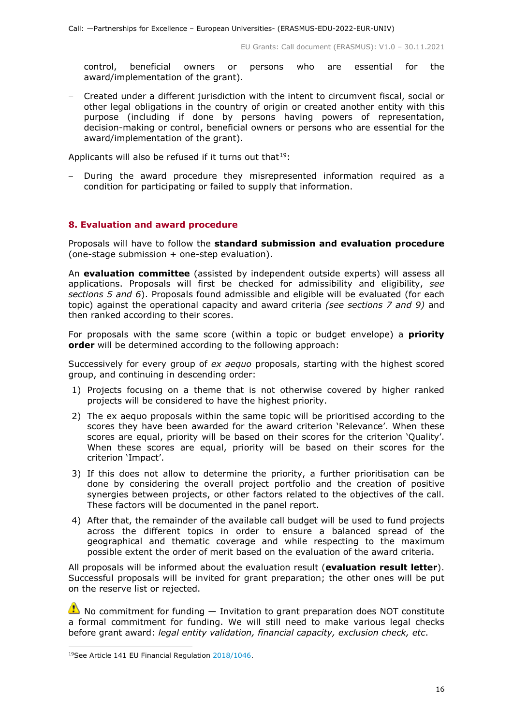control, beneficial owners or persons who are essential for the award/implementation of the grant).

− Created under a different jurisdiction with the intent to circumvent fiscal, social or other legal obligations in the country of origin or created another entity with this purpose (including if done by persons having powers of representation, decision-making or control, beneficial owners or persons who are essential for the award/implementation of the grant).

Applicants will also be refused if it turns out that  $19$ :

During the award procedure they misrepresented information required as a condition for participating or failed to supply that information.

#### <span id="page-15-0"></span>**8. Evaluation and award procedure**

Proposals will have to follow the **standard submission and evaluation procedure** (one-stage submission + one-step evaluation).

An **evaluation committee** (assisted by independent outside experts) will assess all applications. Proposals will first be checked for admissibility and eligibility, *see sections 5 and 6*). Proposals found admissible and eligible will be evaluated (for each topic) against the operational capacity and award criteria *(see sections 7 and 9)* and then ranked according to their scores.

For proposals with the same score (within a topic or budget envelope) a **priority order** will be determined according to the following approach:

Successively for every group of *ex aequo* proposals, starting with the highest scored group, and continuing in descending order:

- 1) Projects focusing on a theme that is not otherwise covered by higher ranked projects will be considered to have the highest priority.
- 2) The ex aequo proposals within the same topic will be prioritised according to the scores they have been awarded for the award criterion 'Relevance'. When these scores are equal, priority will be based on their scores for the criterion 'Quality'. When these scores are equal, priority will be based on their scores for the criterion 'Impact'.
- 3) If this does not allow to determine the priority, a further prioritisation can be done by considering the overall project portfolio and the creation of positive synergies between projects, or other factors related to the objectives of the call. These factors will be documented in the panel report.
- 4) After that, the remainder of the available call budget will be used to fund projects across the different topics in order to ensure a balanced spread of the geographical and thematic coverage and while respecting to the maximum possible extent the order of merit based on the evaluation of the award criteria.

All proposals will be informed about the evaluation result (**evaluation result letter**). Successful proposals will be invited for grant preparation; the other ones will be put on the reserve list or rejected.

 $\triangle$  No commitment for funding  $-$  Invitation to grant preparation does NOT constitute a formal commitment for funding. We will still need to make various legal checks before grant award: *legal entity validation, financial capacity, exclusion check, etc*.

<span id="page-15-1"></span> <sup>19</sup>See Article 141 EU Financial Regulation [2018/1046.](https://eur-lex.europa.eu/legal-content/EN/ALL/?uri=CELEX:32018R1046&qid=1535046024012)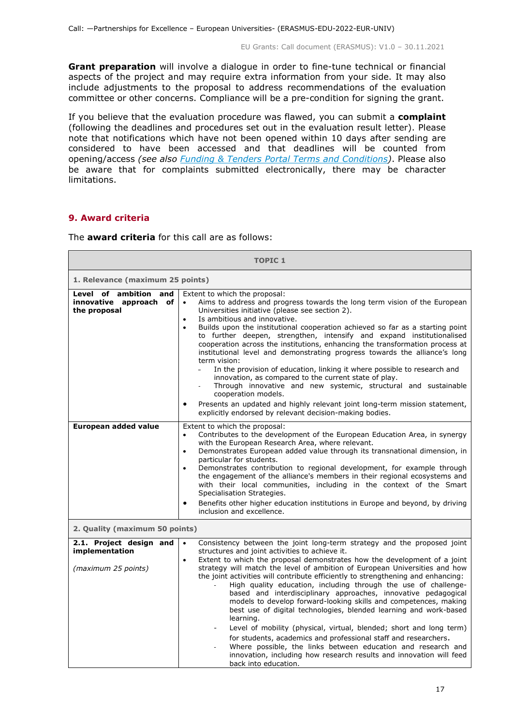**Grant preparation** will involve a dialogue in order to fine-tune technical or financial aspects of the project and may require extra information from your side. It may also include adjustments to the proposal to address recommendations of the evaluation committee or other concerns. Compliance will be a pre-condition for signing the grant.

If you believe that the evaluation procedure was flawed, you can submit a **complaint** (following the deadlines and procedures set out in the evaluation result letter). Please note that notifications which have not been opened within 10 days after sending are considered to have been accessed and that deadlines will be counted from opening/access *(see also [Funding & Tenders Portal Terms and Conditions\)](https://ec.europa.eu/info/funding-tenders/opportunities/docs/2021-2027/common/ftp/tc_en.pdf)*. Please also be aware that for complaints submitted electronically, there may be character limitations.

## <span id="page-16-0"></span>**9. Award criteria**

 $\blacksquare$ 

The **award criteria** for this call are as follows:

| <b>TOPIC 1</b>                                                     |                                                                                                                                                                                                                                                                                                                                                                                                                                                                                                                                                                                                                                                                                                                                                                                                                                                                                                                                                                                                       |  |
|--------------------------------------------------------------------|-------------------------------------------------------------------------------------------------------------------------------------------------------------------------------------------------------------------------------------------------------------------------------------------------------------------------------------------------------------------------------------------------------------------------------------------------------------------------------------------------------------------------------------------------------------------------------------------------------------------------------------------------------------------------------------------------------------------------------------------------------------------------------------------------------------------------------------------------------------------------------------------------------------------------------------------------------------------------------------------------------|--|
| 1. Relevance (maximum 25 points)                                   |                                                                                                                                                                                                                                                                                                                                                                                                                                                                                                                                                                                                                                                                                                                                                                                                                                                                                                                                                                                                       |  |
| Level of ambition<br>and<br>innovative approach of<br>the proposal | Extent to which the proposal:<br>Aims to address and progress towards the long term vision of the European<br>$\bullet$<br>Universities initiative (please see section 2).<br>Is ambitious and innovative.<br>$\bullet$<br>Builds upon the institutional cooperation achieved so far as a starting point<br>$\bullet$<br>to further deepen, strengthen, intensify and expand institutionalised<br>cooperation across the institutions, enhancing the transformation process at<br>institutional level and demonstrating progress towards the alliance's long<br>term vision:<br>In the provision of education, linking it where possible to research and<br>innovation, as compared to the current state of play.<br>Through innovative and new systemic, structural and sustainable<br>cooperation models.<br>Presents an updated and highly relevant joint long-term mission statement,<br>explicitly endorsed by relevant decision-making bodies.                                                  |  |
| European added value                                               | Extent to which the proposal:<br>Contributes to the development of the European Education Area, in synergy<br>$\bullet$<br>with the European Research Area, where relevant.<br>Demonstrates European added value through its transnational dimension, in<br>$\bullet$<br>particular for students.<br>Demonstrates contribution to regional development, for example through<br>$\bullet$<br>the engagement of the alliance's members in their regional ecosystems and<br>with their local communities, including in the context of the Smart<br>Specialisation Strategies.<br>Benefits other higher education institutions in Europe and beyond, by driving<br>inclusion and excellence.                                                                                                                                                                                                                                                                                                              |  |
| 2. Quality (maximum 50 points)                                     |                                                                                                                                                                                                                                                                                                                                                                                                                                                                                                                                                                                                                                                                                                                                                                                                                                                                                                                                                                                                       |  |
| 2.1. Project design and<br>implementation<br>(maximum 25 points)   | Consistency between the joint long-term strategy and the proposed joint<br>$\bullet$<br>structures and joint activities to achieve it.<br>Extent to which the proposal demonstrates how the development of a joint<br>$\bullet$<br>strategy will match the level of ambition of European Universities and how<br>the joint activities will contribute efficiently to strengthening and enhancing:<br>High quality education, including through the use of challenge-<br>based and interdisciplinary approaches, innovative pedagogical<br>models to develop forward-looking skills and competences, making<br>best use of digital technologies, blended learning and work-based<br>learning.<br>Level of mobility (physical, virtual, blended; short and long term)<br>for students, academics and professional staff and researchers.<br>Where possible, the links between education and research and<br>innovation, including how research results and innovation will feed<br>back into education. |  |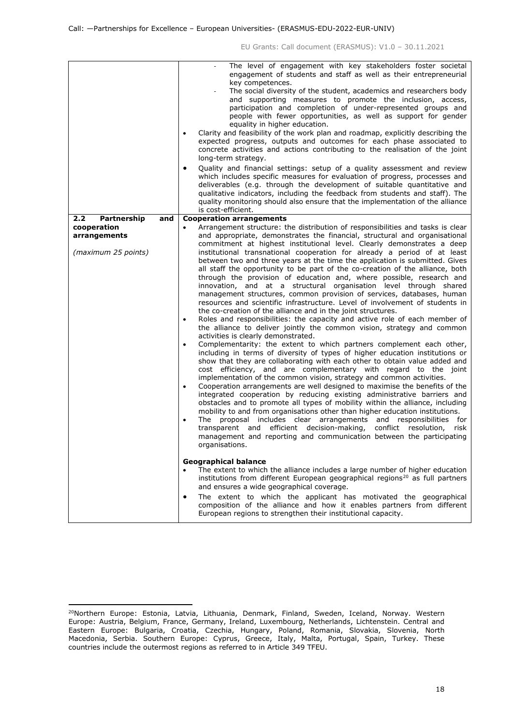| 2.2 <sub>2</sub><br>Partnership     | and | The level of engagement with key stakeholders foster societal<br>engagement of students and staff as well as their entrepreneurial<br>key competences.<br>The social diversity of the student, academics and researchers body<br>and supporting measures to promote the inclusion, access,<br>participation and completion of under-represented groups and<br>people with fewer opportunities, as well as support for gender<br>equality in higher education.<br>Clarity and feasibility of the work plan and roadmap, explicitly describing the<br>$\bullet$<br>expected progress, outputs and outcomes for each phase associated to<br>concrete activities and actions contributing to the realisation of the joint<br>long-term strategy.<br>Quality and financial settings: setup of a quality assessment and review<br>which includes specific measures for evaluation of progress, processes and<br>deliverables (e.g. through the development of suitable quantitative and<br>qualitative indicators, including the feedback from students and staff). The<br>quality monitoring should also ensure that the implementation of the alliance<br>is cost-efficient.<br><b>Cooperation arrangements</b> |
|-------------------------------------|-----|-------------------------------------------------------------------------------------------------------------------------------------------------------------------------------------------------------------------------------------------------------------------------------------------------------------------------------------------------------------------------------------------------------------------------------------------------------------------------------------------------------------------------------------------------------------------------------------------------------------------------------------------------------------------------------------------------------------------------------------------------------------------------------------------------------------------------------------------------------------------------------------------------------------------------------------------------------------------------------------------------------------------------------------------------------------------------------------------------------------------------------------------------------------------------------------------------------------|
| cooperation                         |     | Arrangement structure: the distribution of responsibilities and tasks is clear<br>$\bullet$                                                                                                                                                                                                                                                                                                                                                                                                                                                                                                                                                                                                                                                                                                                                                                                                                                                                                                                                                                                                                                                                                                                 |
| arrangements<br>(maximum 25 points) |     | and appropriate, demonstrates the financial, structural and organisational<br>commitment at highest institutional level. Clearly demonstrates a deep<br>institutional transnational cooperation for already a period of at least<br>between two and three years at the time the application is submitted. Gives                                                                                                                                                                                                                                                                                                                                                                                                                                                                                                                                                                                                                                                                                                                                                                                                                                                                                             |
|                                     |     | all staff the opportunity to be part of the co-creation of the alliance, both                                                                                                                                                                                                                                                                                                                                                                                                                                                                                                                                                                                                                                                                                                                                                                                                                                                                                                                                                                                                                                                                                                                               |
|                                     |     | through the provision of education and, where possible, research and<br>innovation, and at a structural organisation level through shared                                                                                                                                                                                                                                                                                                                                                                                                                                                                                                                                                                                                                                                                                                                                                                                                                                                                                                                                                                                                                                                                   |
|                                     |     | management structures, common provision of services, databases, human<br>resources and scientific infrastructure. Level of involvement of students in                                                                                                                                                                                                                                                                                                                                                                                                                                                                                                                                                                                                                                                                                                                                                                                                                                                                                                                                                                                                                                                       |
|                                     |     | the co-creation of the alliance and in the joint structures.<br>Roles and responsibilities: the capacity and active role of each member of<br>$\bullet$<br>the alliance to deliver jointly the common vision, strategy and common                                                                                                                                                                                                                                                                                                                                                                                                                                                                                                                                                                                                                                                                                                                                                                                                                                                                                                                                                                           |
|                                     |     | activities is clearly demonstrated.<br>Complementarity: the extent to which partners complement each other,<br>$\bullet$                                                                                                                                                                                                                                                                                                                                                                                                                                                                                                                                                                                                                                                                                                                                                                                                                                                                                                                                                                                                                                                                                    |
|                                     |     | including in terms of diversity of types of higher education institutions or<br>show that they are collaborating with each other to obtain value added and<br>cost efficiency, and are complementary with regard to the joint                                                                                                                                                                                                                                                                                                                                                                                                                                                                                                                                                                                                                                                                                                                                                                                                                                                                                                                                                                               |
|                                     |     | implementation of the common vision, strategy and common activities.                                                                                                                                                                                                                                                                                                                                                                                                                                                                                                                                                                                                                                                                                                                                                                                                                                                                                                                                                                                                                                                                                                                                        |
|                                     |     | Cooperation arrangements are well designed to maximise the benefits of the<br>$\bullet$<br>integrated cooperation by reducing existing administrative barriers and<br>obstacles and to promote all types of mobility within the alliance, including                                                                                                                                                                                                                                                                                                                                                                                                                                                                                                                                                                                                                                                                                                                                                                                                                                                                                                                                                         |
|                                     |     | mobility to and from organisations other than higher education institutions.<br>The<br>proposal includes clear arrangements and responsibilities<br>for                                                                                                                                                                                                                                                                                                                                                                                                                                                                                                                                                                                                                                                                                                                                                                                                                                                                                                                                                                                                                                                     |
|                                     |     | transparent and efficient decision-making,<br>conflict resolution.<br>risk<br>management and reporting and communication between the participating<br>organisations.                                                                                                                                                                                                                                                                                                                                                                                                                                                                                                                                                                                                                                                                                                                                                                                                                                                                                                                                                                                                                                        |
|                                     |     | <b>Geographical balance</b>                                                                                                                                                                                                                                                                                                                                                                                                                                                                                                                                                                                                                                                                                                                                                                                                                                                                                                                                                                                                                                                                                                                                                                                 |
|                                     |     | The extent to which the alliance includes a large number of higher education<br>$\bullet$<br>institutions from different European geographical regions <sup>20</sup> as full partners<br>and ensures a wide geographical coverage.                                                                                                                                                                                                                                                                                                                                                                                                                                                                                                                                                                                                                                                                                                                                                                                                                                                                                                                                                                          |
|                                     |     | The extent to which the applicant has motivated the geographical<br>٠<br>composition of the alliance and how it enables partners from different<br>European regions to strengthen their institutional capacity.                                                                                                                                                                                                                                                                                                                                                                                                                                                                                                                                                                                                                                                                                                                                                                                                                                                                                                                                                                                             |
|                                     |     |                                                                                                                                                                                                                                                                                                                                                                                                                                                                                                                                                                                                                                                                                                                                                                                                                                                                                                                                                                                                                                                                                                                                                                                                             |

<span id="page-17-0"></span><sup>&</sup>lt;sup>20</sup>Northern Europe: Estonia, Latvia, Lithuania, Denmark, Finland, Sweden, Iceland, Norway. Western Europe: Austria, Belgium, France, Germany, Ireland, Luxembourg, Netherlands, Lichtenstein. Central and Eastern Europe: Bulgaria, Croatia, Czechia, Hungary, Poland, Romania, Slovakia, Slovenia, North Macedonia, Serbia. Southern Europe: Cyprus, Greece, Italy, Malta, Portugal, Spain, Turkey. These countries include the outermost regions as referred to in Article 349 TFEU.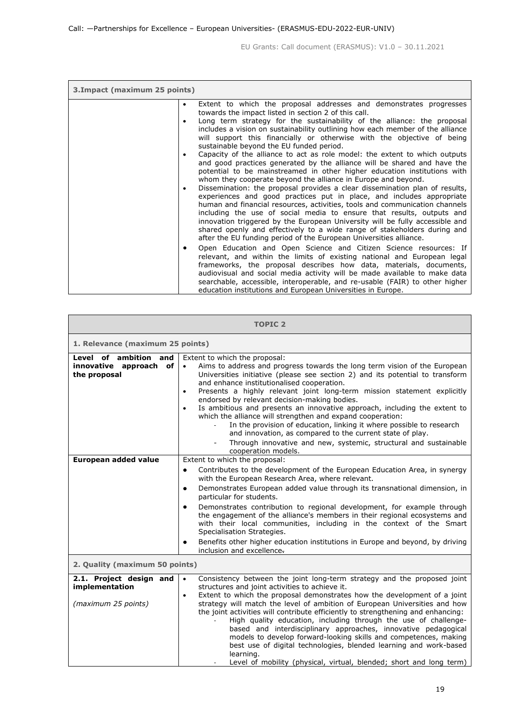| 3. Impact (maximum 25 points) |                                                                                                                                                                                                                                                                                                                                                                                                                                                                                                                                            |  |
|-------------------------------|--------------------------------------------------------------------------------------------------------------------------------------------------------------------------------------------------------------------------------------------------------------------------------------------------------------------------------------------------------------------------------------------------------------------------------------------------------------------------------------------------------------------------------------------|--|
| ٠<br>$\bullet$                | Extent to which the proposal addresses and demonstrates progresses<br>towards the impact listed in section 2 of this call.<br>Long term strategy for the sustainability of the alliance: the proposal<br>includes a vision on sustainability outlining how each member of the alliance<br>will support this financially or otherwise with the objective of being<br>sustainable beyond the EU funded period.                                                                                                                               |  |
| $\bullet$<br>$\bullet$        | Capacity of the alliance to act as role model: the extent to which outputs<br>and good practices generated by the alliance will be shared and have the<br>potential to be mainstreamed in other higher education institutions with<br>whom they cooperate beyond the alliance in Europe and beyond.<br>Dissemination: the proposal provides a clear dissemination plan of results,<br>experiences and good practices put in place, and includes appropriate<br>human and financial resources, activities, tools and communication channels |  |
|                               | including the use of social media to ensure that results, outputs and<br>innovation triggered by the European University will be fully accessible and<br>shared openly and effectively to a wide range of stakeholders during and<br>after the EU funding period of the European Universities alliance.                                                                                                                                                                                                                                    |  |
| $\bullet$                     | Open Education and Open Science and Citizen Science resources: If<br>relevant, and within the limits of existing national and European legal<br>frameworks, the proposal describes how data, materials, documents,<br>audiovisual and social media activity will be made available to make data<br>searchable, accessible, interoperable, and re-usable (FAIR) to other higher<br>education institutions and European Universities in Europe.                                                                                              |  |

| <b>TOPIC 2</b>                                                   |                                                                                                                                                                                                                                                                                                                                                                                                                                                                                                                                                                                                                                                                                                                                                                                        |  |
|------------------------------------------------------------------|----------------------------------------------------------------------------------------------------------------------------------------------------------------------------------------------------------------------------------------------------------------------------------------------------------------------------------------------------------------------------------------------------------------------------------------------------------------------------------------------------------------------------------------------------------------------------------------------------------------------------------------------------------------------------------------------------------------------------------------------------------------------------------------|--|
| 1. Relevance (maximum 25 points)                                 |                                                                                                                                                                                                                                                                                                                                                                                                                                                                                                                                                                                                                                                                                                                                                                                        |  |
| Level of ambition and<br>innovative approach of<br>the proposal  | Extent to which the proposal:<br>Aims to address and progress towards the long term vision of the European<br>$\bullet$<br>Universities initiative (please see section 2) and its potential to transform<br>and enhance institutionalised cooperation.<br>Presents a highly relevant joint long-term mission statement explicitly<br>$\bullet$<br>endorsed by relevant decision-making bodies.<br>Is ambitious and presents an innovative approach, including the extent to<br>$\bullet$<br>which the alliance will strengthen and expand cooperation:<br>In the provision of education, linking it where possible to research<br>and innovation, as compared to the current state of play.<br>Through innovative and new, systemic, structural and sustainable<br>cooperation models. |  |
| European added value                                             | Extent to which the proposal:<br>Contributes to the development of the European Education Area, in synergy<br>٠<br>with the European Research Area, where relevant.<br>Demonstrates European added value through its transnational dimension, in<br>٠<br>particular for students.<br>Demonstrates contribution to regional development, for example through<br>٠<br>the engagement of the alliance's members in their regional ecosystems and<br>with their local communities, including in the context of the Smart<br>Specialisation Strategies.<br>Benefits other higher education institutions in Europe and beyond, by driving<br>٠<br>inclusion and excellence.                                                                                                                  |  |
| 2. Quality (maximum 50 points)                                   |                                                                                                                                                                                                                                                                                                                                                                                                                                                                                                                                                                                                                                                                                                                                                                                        |  |
| 2.1. Project design and<br>implementation<br>(maximum 25 points) | Consistency between the joint long-term strategy and the proposed joint<br>$\bullet$<br>structures and joint activities to achieve it.<br>Extent to which the proposal demonstrates how the development of a joint<br>$\bullet$<br>strategy will match the level of ambition of European Universities and how<br>the joint activities will contribute efficiently to strengthening and enhancing:<br>High quality education, including through the use of challenge-<br>based and interdisciplinary approaches, innovative pedagogical<br>models to develop forward-looking skills and competences, making<br>best use of digital technologies, blended learning and work-based<br>learning.<br>Level of mobility (physical, virtual, blended; short and long term)                    |  |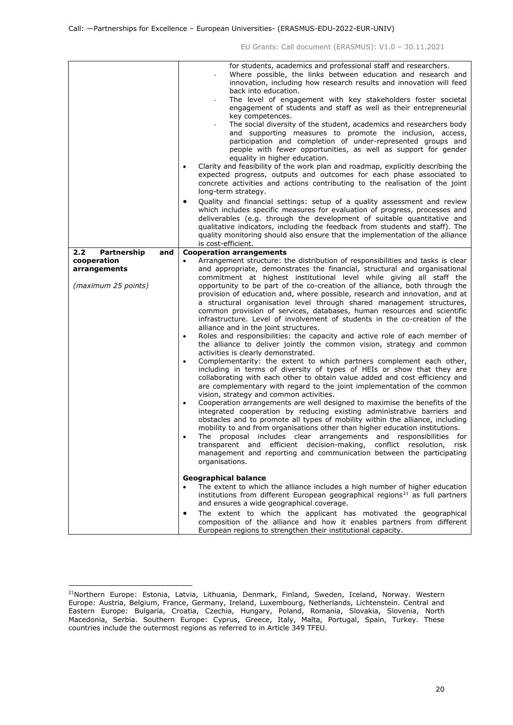|                                                                                 | for students, academics and professional staff and researchers.<br>Where possible, the links between education and research and<br>innovation, including how research results and innovation will feed<br>back into education.<br>The level of engagement with key stakeholders foster societal<br>engagement of students and staff as well as their entrepreneurial<br>key competences.<br>The social diversity of the student, academics and researchers body<br>and supporting measures to promote the inclusion, access,<br>participation and completion of under-represented groups and<br>people with fewer opportunities, as well as support for gender<br>equality in higher education.<br>Clarity and feasibility of the work plan and roadmap, explicitly describing the<br>$\bullet$<br>expected progress, outputs and outcomes for each phase associated to<br>concrete activities and actions contributing to the realisation of the joint<br>long-term strategy.<br>Quality and financial settings: setup of a quality assessment and review<br>٠<br>which includes specific measures for evaluation of progress, processes and<br>deliverables (e.g. through the development of suitable quantitative and<br>qualitative indicators, including the feedback from students and staff). The<br>quality monitoring should also ensure that the implementation of the alliance<br>is cost-efficient.                                                                                                                                                                                                                                                                                                                                                                                                                                                                |
|---------------------------------------------------------------------------------|--------------------------------------------------------------------------------------------------------------------------------------------------------------------------------------------------------------------------------------------------------------------------------------------------------------------------------------------------------------------------------------------------------------------------------------------------------------------------------------------------------------------------------------------------------------------------------------------------------------------------------------------------------------------------------------------------------------------------------------------------------------------------------------------------------------------------------------------------------------------------------------------------------------------------------------------------------------------------------------------------------------------------------------------------------------------------------------------------------------------------------------------------------------------------------------------------------------------------------------------------------------------------------------------------------------------------------------------------------------------------------------------------------------------------------------------------------------------------------------------------------------------------------------------------------------------------------------------------------------------------------------------------------------------------------------------------------------------------------------------------------------------------------------------------------------------------------------------------------------------------------|
|                                                                                 |                                                                                                                                                                                                                                                                                                                                                                                                                                                                                                                                                                                                                                                                                                                                                                                                                                                                                                                                                                                                                                                                                                                                                                                                                                                                                                                                                                                                                                                                                                                                                                                                                                                                                                                                                                                                                                                                                |
| 2.2<br>Partnership<br>and<br>cooperation<br>arrangements<br>(maximum 25 points) | <b>Cooperation arrangements</b><br>Arrangement structure: the distribution of responsibilities and tasks is clear<br>and appropriate, demonstrates the financial, structural and organisational<br>commitment at highest institutional level while giving all staff the<br>opportunity to be part of the co-creation of the alliance, both through the<br>provision of education and, where possible, research and innovation, and at<br>a structural organisation level through shared management structures,<br>common provision of services, databases, human resources and scientific<br>infrastructure. Level of involvement of students in the co-creation of the<br>alliance and in the joint structures.<br>Roles and responsibilities: the capacity and active role of each member of<br>$\bullet$<br>the alliance to deliver jointly the common vision, strategy and common<br>activities is clearly demonstrated.<br>Complementarity: the extent to which partners complement each other,<br>$\bullet$<br>including in terms of diversity of types of HEIs or show that they are<br>collaborating with each other to obtain value added and cost efficiency and<br>are complementary with regard to the joint implementation of the common<br>vision, strategy and common activities.<br>Cooperation arrangements are well designed to maximise the benefits of the<br>$\bullet$<br>integrated cooperation by reducing existing administrative barriers and<br>obstacles and to promote all types of mobility within the alliance, including<br>mobility to and from organisations other than higher education institutions.<br>The proposal includes clear arrangements and responsibilities for<br>transparent and efficient decision-making, conflict resolution, risk<br>management and reporting and communication between the participating<br>organisations. |
|                                                                                 | <b>Geographical balance</b><br>The extent to which the alliance includes a high number of higher education<br>institutions from different European geographical regions <sup>21</sup> as full partners<br>and ensures a wide geographical coverage.<br>The extent to which the applicant has motivated the geographical<br>٠<br>composition of the alliance and how it enables partners from different<br>European regions to strengthen their institutional capacity.                                                                                                                                                                                                                                                                                                                                                                                                                                                                                                                                                                                                                                                                                                                                                                                                                                                                                                                                                                                                                                                                                                                                                                                                                                                                                                                                                                                                         |

<span id="page-19-0"></span><sup>&</sup>lt;sup>21</sup>Northern Europe: Estonia, Latvia, Lithuania, Denmark, Finland, Sweden, Iceland, Norway. Western Europe: Austria, Belgium, France, Germany, Ireland, Luxembourg, Netherlands, Lichtenstein. Central and Eastern Europe: Bulgaria, Croatia, Czechia, Hungary, Poland, Romania, Slovakia, Slovenia, North Macedonia, Serbia. Southern Europe: Cyprus, Greece, Italy, Malta, Portugal, Spain, Turkey. These countries include the outermost regions as referred to in Article 349 TFEU.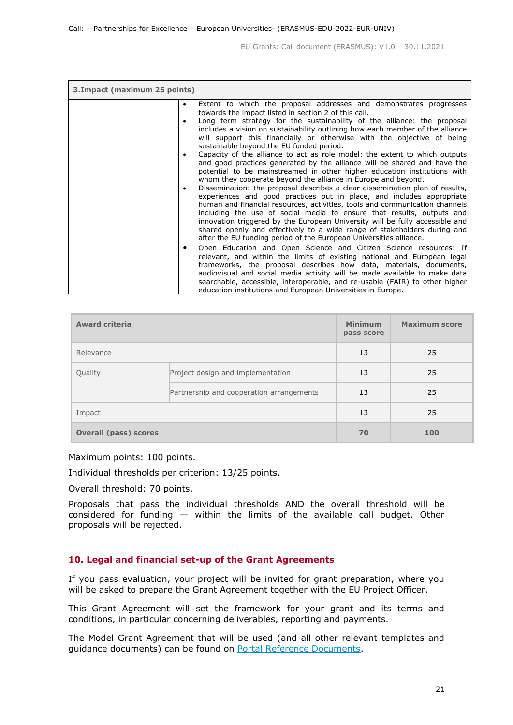| 3. Impact (maximum 25 points) |                                                                                                                                                                                                                                                                                                                                                                                                                                                                                                                                                 |  |
|-------------------------------|-------------------------------------------------------------------------------------------------------------------------------------------------------------------------------------------------------------------------------------------------------------------------------------------------------------------------------------------------------------------------------------------------------------------------------------------------------------------------------------------------------------------------------------------------|--|
| $\bullet$<br>$\bullet$        | Extent to which the proposal addresses and demonstrates progresses<br>towards the impact listed in section 2 of this call.<br>Long term strategy for the sustainability of the alliance: the proposal<br>includes a vision on sustainability outlining how each member of the alliance<br>will support this financially or otherwise with the objective of being<br>sustainable beyond the EU funded period.                                                                                                                                    |  |
| $\bullet$                     | Capacity of the alliance to act as role model: the extent to which outputs<br>and good practices generated by the alliance will be shared and have the<br>potential to be mainstreamed in other higher education institutions with<br>whom they cooperate beyond the alliance in Europe and beyond.                                                                                                                                                                                                                                             |  |
| $\bullet$                     | Dissemination: the proposal describes a clear dissemination plan of results,<br>experiences and good practices put in place, and includes appropriate<br>human and financial resources, activities, tools and communication channels<br>including the use of social media to ensure that results, outputs and<br>innovation triggered by the European University will be fully accessible and<br>shared openly and effectively to a wide range of stakeholders during and<br>after the EU funding period of the European Universities alliance. |  |
| $\bullet$                     | Open Education and Open Science and Citizen Science resources: If<br>relevant, and within the limits of existing national and European legal<br>frameworks, the proposal describes how data, materials, documents,<br>audiovisual and social media activity will be made available to make data<br>searchable, accessible, interoperable, and re-usable (FAIR) to other higher<br>education institutions and European Universities in Europe.                                                                                                   |  |

| <b>Award criteria</b>        |                                          | <b>Minimum</b><br>pass score | <b>Maximum score</b> |
|------------------------------|------------------------------------------|------------------------------|----------------------|
| Relevance                    |                                          | 13                           | 25                   |
| Quality                      | Project design and implementation        | 13                           | 25                   |
|                              | Partnership and cooperation arrangements | 13                           | 25                   |
| Impact                       |                                          | 13                           | 25                   |
| <b>Overall (pass) scores</b> |                                          | 70                           | 100                  |

Maximum points: 100 points.

Individual thresholds per criterion: 13/25 points.

Overall threshold: 70 points.

Proposals that pass the individual thresholds AND the overall threshold will be considered for funding  $-$  within the limits of the available call budget. Other proposals will be rejected.

#### <span id="page-20-0"></span>**10. Legal and financial set-up of the Grant Agreements**

If you pass evaluation, your project will be invited for grant preparation, where you will be asked to prepare the Grant Agreement together with the EU Project Officer.

This Grant Agreement will set the framework for your grant and its terms and conditions, in particular concerning deliverables, reporting and payments.

The Model Grant Agreement that will be used (and all other relevant templates and guidance documents) can be found on [Portal Reference Documents.](https://ec.europa.eu/info/funding-tenders/opportunities/portal/screen/how-to-participate/reference-documents)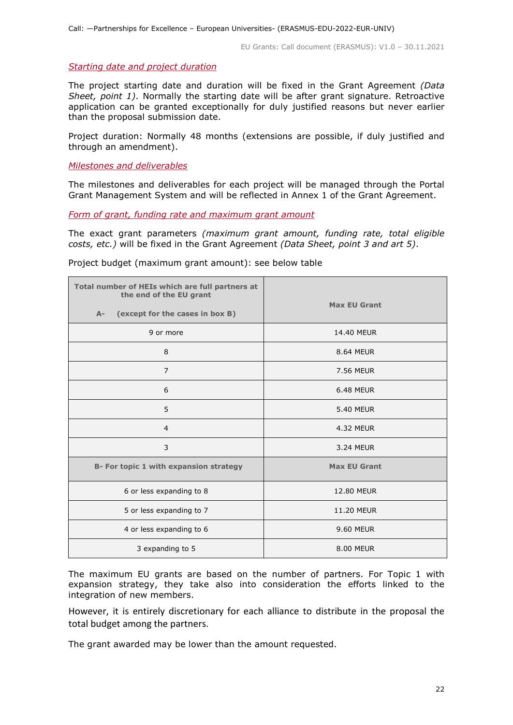#### <span id="page-21-0"></span>*Starting date and project duration*

The project starting date and duration will be fixed in the Grant Agreement *(Data Sheet, point 1)*. Normally the starting date will be after grant signature. Retroactive application can be granted exceptionally for duly justified reasons but never earlier than the proposal submission date.

Project duration: Normally 48 months (extensions are possible, if duly justified and through an amendment).

<span id="page-21-1"></span>*Milestones and deliverables*

The milestones and deliverables for each project will be managed through the Portal Grant Management System and will be reflected in Annex 1 of the Grant Agreement.

<span id="page-21-2"></span>*Form of grant, funding rate and maximum grant amount*

The exact grant parameters *(maximum grant amount, funding rate, total eligible costs, etc.)* will be fixed in the Grant Agreement *(Data Sheet, point 3 and art 5)*.

| Total number of HEIs which are full partners at<br>the end of the EU grant<br>(except for the cases in box B)<br>$A-$ | <b>Max EU Grant</b> |
|-----------------------------------------------------------------------------------------------------------------------|---------------------|
|                                                                                                                       |                     |
| 9 or more                                                                                                             | 14.40 MEUR          |
| 8                                                                                                                     | 8.64 MEUR           |
| $\overline{7}$                                                                                                        | 7.56 MEUR           |
| 6                                                                                                                     | <b>6.48 MEUR</b>    |
| 5                                                                                                                     | <b>5.40 MEUR</b>    |
| $\overline{4}$                                                                                                        | 4.32 MEUR           |
| 3                                                                                                                     | 3.24 MEUR           |
| B- For topic 1 with expansion strategy                                                                                | <b>Max EU Grant</b> |
| 6 or less expanding to 8                                                                                              | <b>12.80 MEUR</b>   |
| 5 or less expanding to 7                                                                                              | <b>11.20 MEUR</b>   |
| 4 or less expanding to 6                                                                                              | 9.60 MEUR           |
| 3 expanding to 5                                                                                                      | 8.00 MEUR           |

Project budget (maximum grant amount): see below table

The maximum EU grants are based on the number of partners. For Topic 1 with expansion strategy, they take also into consideration the efforts linked to the integration of new members.

However, it is entirely discretionary for each alliance to distribute in the proposal the total budget among the partners.

The grant awarded may be lower than the amount requested.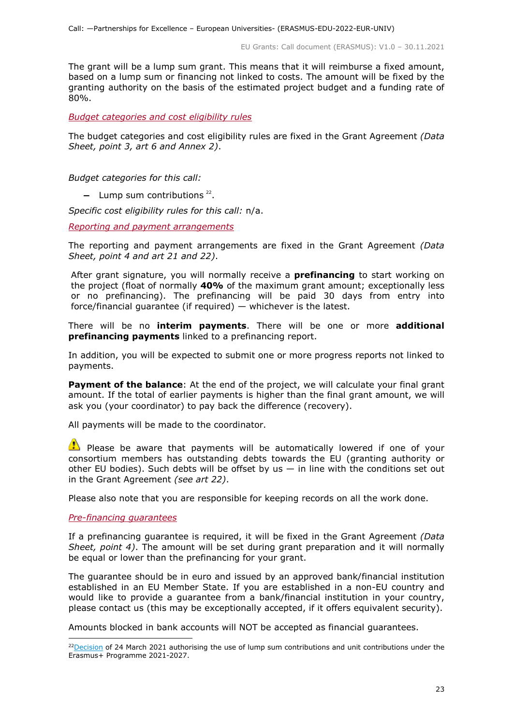The grant will be a lump sum grant. This means that it will reimburse a fixed amount, based on a lump sum or financing not linked to costs. The amount will be fixed by the granting authority on the basis of the estimated project budget and a funding rate of 80%.

<span id="page-22-0"></span>*Budget categories and cost eligibility rules*

The budget categories and cost eligibility rules are fixed in the Grant Agreement *(Data Sheet, point 3, art 6 and Annex 2)*.

*Budget categories for this call:*

− Lump sum contributions<sup>[22](#page-22-3)</sup>.

*Specific cost eligibility rules for this call:* n/a.

<span id="page-22-1"></span>*Reporting and payment arrangements*

The reporting and payment arrangements are fixed in the Grant Agreement *(Data Sheet, point 4 and art 21 and 22)*.

After grant signature, you will normally receive a **prefinancing** to start working on the project (float of normally **40%** of the maximum grant amount; exceptionally less or no prefinancing). The prefinancing will be paid 30 days from entry into force/financial guarantee (if required) — whichever is the latest.

There will be no **interim payments**. There will be one or more **additional prefinancing payments** linked to a prefinancing report.

In addition, you will be expected to submit one or more progress reports not linked to payments.

**Payment of the balance**: At the end of the project, we will calculate your final grant amount. If the total of earlier payments is higher than the final grant amount, we will ask you (your coordinator) to pay back the difference (recovery).

All payments will be made to the coordinator.

 $\bullet$  Please be aware that payments will be automatically lowered if one of your consortium members has outstanding debts towards the EU (granting authority or other EU bodies). Such debts will be offset by us  $-$  in line with the conditions set out in the Grant Agreement *(see art 22)*.

Please also note that you are responsible for keeping records on all the work done.

#### <span id="page-22-2"></span>*Pre-financing guarantees*

If a prefinancing guarantee is required, it will be fixed in the Grant Agreement *(Data Sheet, point 4)*. The amount will be set during grant preparation and it will normally be equal or lower than the prefinancing for your grant.

The guarantee should be in euro and issued by an approved bank/financial institution established in an EU Member State. If you are established in a non-EU country and would like to provide a guarantee from a bank/financial institution in your country, please contact us (this may be exceptionally accepted, if it offers equivalent security).

Amounts blocked in bank accounts will NOT be accepted as financial guarantees.

<span id="page-22-3"></span> $22$ Decision of 24 March 2021 authorising the use of lump sum contributions and unit contributions under the Erasmus+ Programme 2021-2027.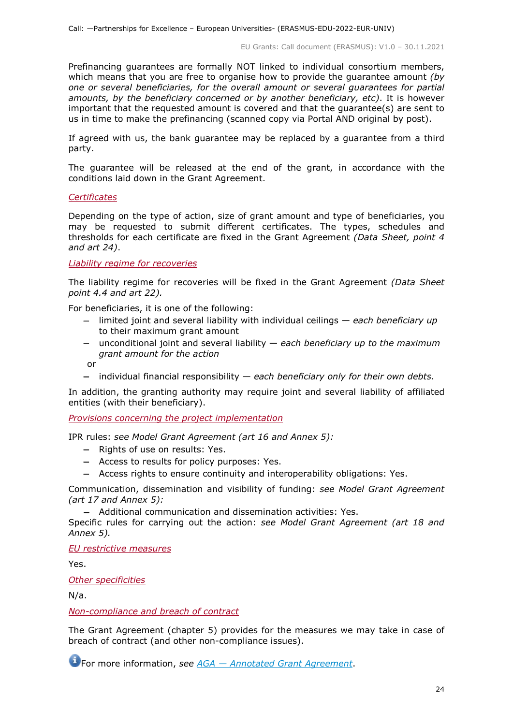Prefinancing guarantees are formally NOT linked to individual consortium members, which means that you are free to organise how to provide the guarantee amount *(by one or several beneficiaries, for the overall amount or several guarantees for partial amounts, by the beneficiary concerned or by another beneficiary, etc)*. It is however important that the requested amount is covered and that the guarantee(s) are sent to us in time to make the prefinancing (scanned copy via Portal AND original by post).

If agreed with us, the bank guarantee may be replaced by a guarantee from a third party.

The guarantee will be released at the end of the grant, in accordance with the conditions laid down in the Grant Agreement.

#### <span id="page-23-0"></span>*Certificates*

Depending on the type of action, size of grant amount and type of beneficiaries, you may be requested to submit different certificates. The types, schedules and thresholds for each certificate are fixed in the Grant Agreement *(Data Sheet, point 4 and art 24)*.

<span id="page-23-1"></span>*Liability regime for recoveries*

The liability regime for recoveries will be fixed in the Grant Agreement *(Data Sheet point 4.4 and art 22).*

For beneficiaries, it is one of the following:

- − limited joint and several liability with individual ceilings *each beneficiary up*  to their maximum grant amount
- − unconditional joint and several liability *each beneficiary up to the maximum grant amount for the action*

or

− individual financial responsibility — *each beneficiary only for their own debts*.

In addition, the granting authority may require joint and several liability of affiliated entities (with their beneficiary).

<span id="page-23-2"></span>*Provisions concerning the project implementation*

IPR rules: *see Model Grant Agreement (art 16 and Annex 5):*

- − Rights of use on results: Yes.
- − Access to results for policy purposes: Yes.
- − Access rights to ensure continuity and interoperability obligations: Yes.

Communication, dissemination and visibility of funding: *see Model Grant Agreement (art 17 and Annex 5):*

− Additional communication and dissemination activities: Yes.

Specific rules for carrying out the action: *see Model Grant Agreement (art 18 and Annex 5).*

*EU restrictive measures*

Yes.

*Other specificities*

N/a.

<span id="page-23-3"></span>*Non-compliance and breach of contract*

The Grant Agreement (chapter 5) provides for the measures we may take in case of breach of contract (and other non-compliance issues).

For more information, *see AGA — [Annotated Grant Agreement](https://ec.europa.eu/info/funding-tenders/opportunities/docs/2021-2027/common/guidance/aga_en.pdf)*.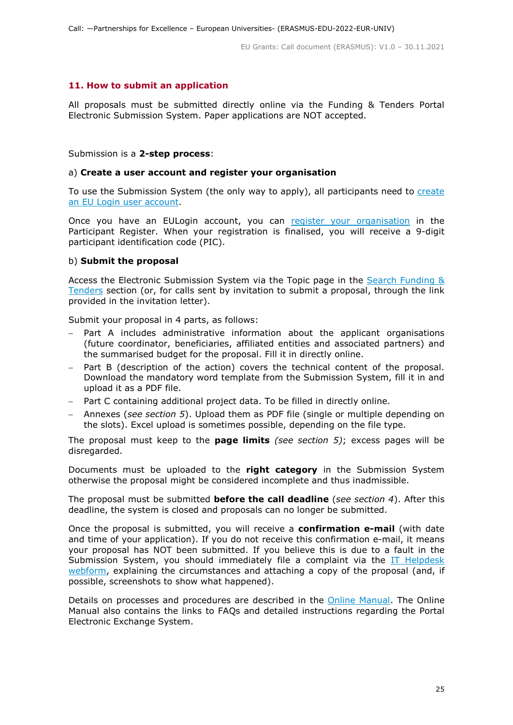## <span id="page-24-0"></span>**11. How to submit an application**

All proposals must be submitted directly online via the Funding & Tenders Portal Electronic Submission System. Paper applications are NOT accepted.

#### Submission is a **2-step process**:

#### a) **Create a user account and register your organisation**

To use the Submission System (the only way to apply), all participants need to create [an EU Login user account.](https://webgate.ec.europa.eu/cas/eim/external/register.cgi)

Once you have an EULogin account, you can [register your organisation](https://ec.europa.eu/info/funding-tenders/opportunities/portal/screen/how-to-participate/participant-register) in the Participant Register. When your registration is finalised, you will receive a 9-digit participant identification code (PIC).

#### b) **Submit the proposal**

Access the Electronic Submission System via the Topic page in the [Search Funding &](https://ec.europa.eu/info/funding-tenders/opportunities/portal/screen/opportunities/topic-search;freeTextSearchKeyword=;typeCodes=0,1;statusCodes=31094501,31094502,31094503;programCode=null;programDivisionCode=null;focusAreaCode=null;crossCuttingPriorityCode=null;callCode=Default;sortQuery=openingDate;orderBy=asc;onlyTenders=false;topicListKey=topicSearchTablePageState)  [Tenders](https://ec.europa.eu/info/funding-tenders/opportunities/portal/screen/opportunities/topic-search;freeTextSearchKeyword=;typeCodes=0,1;statusCodes=31094501,31094502,31094503;programCode=null;programDivisionCode=null;focusAreaCode=null;crossCuttingPriorityCode=null;callCode=Default;sortQuery=openingDate;orderBy=asc;onlyTenders=false;topicListKey=topicSearchTablePageState) section (or, for calls sent by invitation to submit a proposal, through the link provided in the invitation letter).

Submit your proposal in 4 parts, as follows:

- − Part A includes administrative information about the applicant organisations (future coordinator, beneficiaries, affiliated entities and associated partners) and the summarised budget for the proposal. Fill it in directly online.
- Part B (description of the action) covers the technical content of the proposal. Download the mandatory word template from the Submission System, fill it in and upload it as a PDF file.
- − Part C containing additional project data. To be filled in directly online.
- − Annexes (*see section 5*). Upload them as PDF file (single or multiple depending on the slots). Excel upload is sometimes possible, depending on the file type.

The proposal must keep to the **page limits** *(see section 5)*; excess pages will be disregarded.

Documents must be uploaded to the **right category** in the Submission System otherwise the proposal might be considered incomplete and thus inadmissible.

The proposal must be submitted **before the call deadline** (*see section 4*). After this deadline, the system is closed and proposals can no longer be submitted.

Once the proposal is submitted, you will receive a **confirmation e-mail** (with date and time of your application). If you do not receive this confirmation e-mail, it means your proposal has NOT been submitted. If you believe this is due to a fault in the Submission System, you should immediately file a complaint via the IT Helpdesk [webform,](https://ec.europa.eu/info/funding-tenders/opportunities/portal/screen/support/helpdesks/contact-form) explaining the circumstances and attaching a copy of the proposal (and, if possible, screenshots to show what happened).

Details on processes and procedures are described in the [Online Manual.](https://ec.europa.eu/info/funding-tenders/opportunities/docs/2021-2027/common/guidance/om_en.pdf) The Online Manual also contains the links to FAQs and detailed instructions regarding the Portal Electronic Exchange System.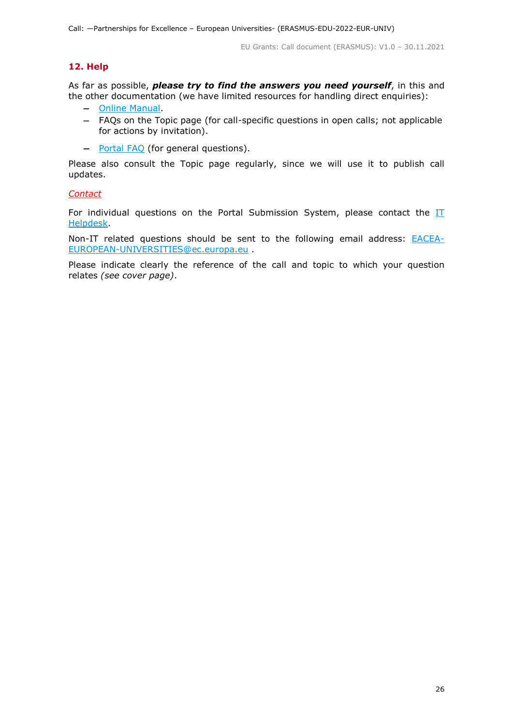# <span id="page-25-0"></span>**12. Help**

As far as possible, *please try to find the answers you need yourself*, in this and the other documentation (we have limited resources for handling direct enquiries):

- − [Online Manual.](https://ec.europa.eu/info/funding-tenders/opportunities/docs/2021-2027/common/guidance/om_en.pdf)
- − FAQs on the Topic page (for call-specific questions in open calls; not applicable for actions by invitation).
- − [Portal FAQ](https://ec.europa.eu/info/funding-tenders/opportunities/portal/screen/support/faq;categories=;programme=null;actions=;keyword=) (for general questions).

Please also consult the Topic page regularly, since we will use it to publish call updates.

## *Contact*

For individual questions on the Portal Submission System, please contact the  $II$ [Helpdesk.](https://ec.europa.eu/info/funding-tenders/opportunities/portal/screen/support/helpdesks/contact-form)

Non-IT related questions should be sent to the following email address: **[EACEA-](mailto:EACEA-EUROPEAN-UNIVERSITIES@ec.europa.eu)**[EUROPEAN-UNIVERSITIES@ec.europa.eu](mailto:EACEA-EUROPEAN-UNIVERSITIES@ec.europa.eu) .

Please indicate clearly the reference of the call and topic to which your question relates *(see cover page)*.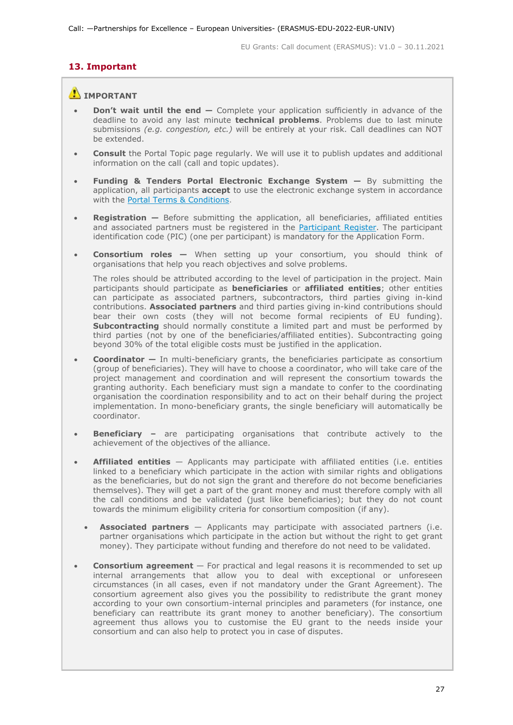# <span id="page-26-0"></span>**13. Important**

# **IMPORTANT**

- **Don't wait until the end —** Complete your application sufficiently in advance of the deadline to avoid any last minute **technical problems**. Problems due to last minute submissions *(e.g. congestion, etc.)* will be entirely at your risk. Call deadlines can NOT be extended.
- **Consult** the Portal Topic page regularly. We will use it to publish updates and additional information on the call (call and topic updates).
- **Funding & Tenders Portal Electronic Exchange System —** By submitting the application, all participants **accept** to use the electronic exchange system in accordance with the [Portal Terms &](https://ec.europa.eu/info/funding-tenders/opportunities/docs/2021-2027/common/ftp/tc_en.pdf) Conditions.
- **Registration —** Before submitting the application, all beneficiaries, affiliated entities and associated partners must be registered in the [Participant Register.](https://ec.europa.eu/info/funding-tenders/opportunities/portal/screen/how-to-participate/participant-register) The participant identification code (PIC) (one per participant) is mandatory for the Application Form.
- **Consortium roles —** When setting up your consortium, you should think of organisations that help you reach objectives and solve problems.

The roles should be attributed according to the level of participation in the project. Main participants should participate as **beneficiaries** or **affiliated entities**; other entities can participate as associated partners, subcontractors, third parties giving in-kind contributions. **Associated partners** and third parties giving in-kind contributions should bear their own costs (they will not become formal recipients of EU funding). **Subcontracting** should normally constitute a limited part and must be performed by third parties (not by one of the beneficiaries/affiliated entities). Subcontracting going beyond 30% of the total eligible costs must be justified in the application.

- **Coordinator —** In multi-beneficiary grants, the beneficiaries participate as consortium (group of beneficiaries). They will have to choose a coordinator, who will take care of the project management and coordination and will represent the consortium towards the granting authority. Each beneficiary must sign a mandate to confer to the coordinating organisation the coordination responsibility and to act on their behalf during the project implementation. In mono-beneficiary grants, the single beneficiary will automatically be coordinator.
- **Beneficiary** are participating organisations that contribute actively to the achievement of the objectives of the alliance.
- **Affiliated entities** Applicants may participate with affiliated entities (i.e. entities linked to a beneficiary which participate in the action with similar rights and obligations as the beneficiaries, but do not sign the grant and therefore do not become beneficiaries themselves). They will get a part of the grant money and must therefore comply with all the call conditions and be validated (just like beneficiaries); but they do not count towards the minimum eligibility criteria for consortium composition (if any).
	- **Associated partners** Applicants may participate with associated partners (i.e. partner organisations which participate in the action but without the right to get grant money). They participate without funding and therefore do not need to be validated.
- **Consortium agreement** For practical and legal reasons it is recommended to set up internal arrangements that allow you to deal with exceptional or unforeseen circumstances (in all cases, even if not mandatory under the Grant Agreement). The consortium agreement also gives you the possibility to redistribute the grant money according to your own consortium-internal principles and parameters (for instance, one beneficiary can reattribute its grant money to another beneficiary). The consortium agreement thus allows you to customise the EU grant to the needs inside your consortium and can also help to protect you in case of disputes.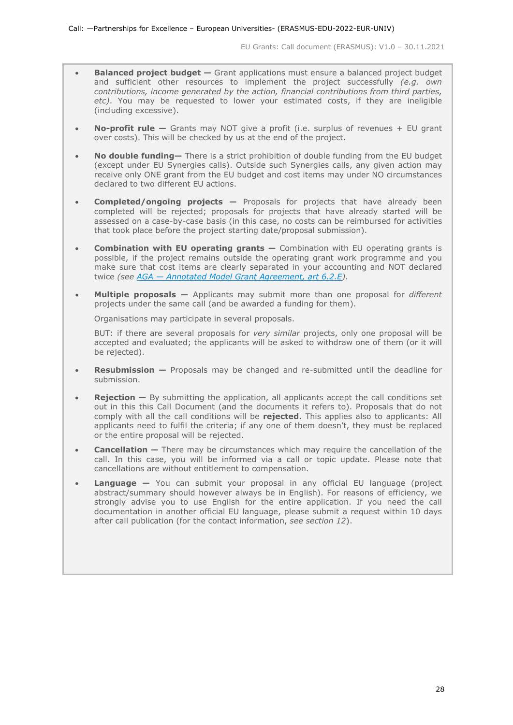- **Balanced project budget —** Grant applications must ensure a balanced project budget and sufficient other resources to implement the project successfully *(e.g. own contributions, income generated by the action, financial contributions from third parties, etc)*. You may be requested to lower your estimated costs, if they are ineligible (including excessive).
- **No-profit rule —** Grants may NOT give a profit (i.e. surplus of revenues + EU grant over costs). This will be checked by us at the end of the project.
- **No double funding—** There is a strict prohibition of double funding from the EU budget (except under EU Synergies calls). Outside such Synergies calls, any given action may receive only ONE grant from the EU budget and cost items may under NO circumstances declared to two different EU actions.
- **Completed/ongoing projects —** Proposals for projects that have already been completed will be rejected; proposals for projects that have already started will be assessed on a case-by-case basis (in this case, no costs can be reimbursed for activities that took place before the project starting date/proposal submission).
- **Combination with EU operating grants —** Combination with EU operating grants is possible, if the project remains outside the operating grant work programme and you make sure that cost items are clearly separated in your accounting and NOT declared twice *(see AGA — [Annotated Model Grant Agreement, art 6.2.E\)](https://ec.europa.eu/info/funding-tenders/opportunities/docs/2021-2027/common/guidance/aga_en.pdf).*
- **Multiple proposals —** Applicants may submit more than one proposal for *different* projects under the same call (and be awarded a funding for them).

Organisations may participate in several proposals.

BUT: if there are several proposals for *very similar* projects, only one proposal will be accepted and evaluated; the applicants will be asked to withdraw one of them (or it will be rejected).

- **Resubmission —** Proposals may be changed and re-submitted until the deadline for submission.
- **Rejection** By submitting the application, all applicants accept the call conditions set out in this this Call Document (and the documents it refers to). Proposals that do not comply with all the call conditions will be **rejected**. This applies also to applicants: All applicants need to fulfil the criteria; if any one of them doesn't, they must be replaced or the entire proposal will be rejected.
- **Cancellation —** There may be circumstances which may require the cancellation of the call. In this case, you will be informed via a call or topic update. Please note that cancellations are without entitlement to compensation.
- **Language —** You can submit your proposal in any official EU language (project abstract/summary should however always be in English). For reasons of efficiency, we strongly advise you to use English for the entire application. If you need the call documentation in another official EU language, please submit a request within 10 days after call publication (for the contact information, *see section 12*).